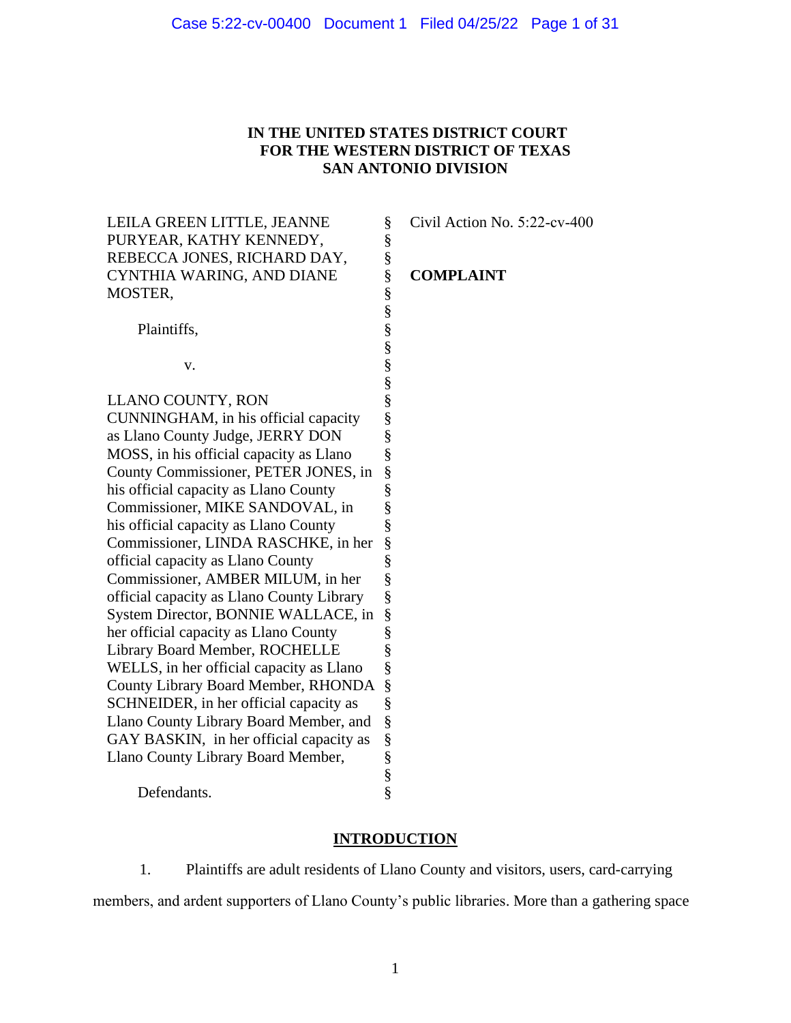## **IN THE UNITED STATES DISTRICT COURT FOR THE WESTERN DISTRICT OF TEXAS SAN ANTONIO DIVISION**

| LEILA GREEN LITTLE, JEANNE                | §                             | Civil <sub>A</sub> |
|-------------------------------------------|-------------------------------|--------------------|
| PURYEAR, KATHY KENNEDY,                   | §                             |                    |
| REBECCA JONES, RICHARD DAY,               |                               |                    |
| CYNTHIA WARING, AND DIANE                 |                               | <b>COM</b>         |
| MOSTER,                                   | es en en en en en en en en en |                    |
|                                           |                               |                    |
| Plaintiffs,                               |                               |                    |
|                                           |                               |                    |
| v.                                        |                               |                    |
|                                           |                               |                    |
| LLANO COUNTY, RON                         |                               |                    |
| CUNNINGHAM, in his official capacity      |                               |                    |
| as Llano County Judge, JERRY DON          | §<br>§                        |                    |
| MOSS, in his official capacity as Llano   |                               |                    |
| County Commissioner, PETER JONES, in      |                               |                    |
| his official capacity as Llano County     |                               |                    |
| Commissioner, MIKE SANDOVAL, in           | es es es es es                |                    |
| his official capacity as Llano County     |                               |                    |
| Commissioner, LINDA RASCHKE, in her       | §<br>§<br>§                   |                    |
| official capacity as Llano County         |                               |                    |
| Commissioner, AMBER MILUM, in her         |                               |                    |
| official capacity as Llano County Library | §                             |                    |
| System Director, BONNIE WALLACE, in       |                               |                    |
| her official capacity as Llano County     |                               |                    |
| Library Board Member, ROCHELLE            | \$<br>\$<br>\$<br>\$          |                    |
| WELLS, in her official capacity as Llano  |                               |                    |
| County Library Board Member, RHONDA       | §<br>§                        |                    |
| SCHNEIDER, in her official capacity as    |                               |                    |
| Llano County Library Board Member, and    | §                             |                    |
| GAY BASKIN, in her official capacity as   |                               |                    |
| Llano County Library Board Member,        |                               |                    |
|                                           | S<br>S<br>S<br>S<br>S         |                    |
| Defendants.                               |                               |                    |

§ Civil Action No. 5:22-cv-400

## **PLAINT**

# **INTRODUCTION**

1. Plaintiffs are adult residents of Llano County and visitors, users, card-carrying members, and ardent supporters of Llano County's public libraries. More than a gathering space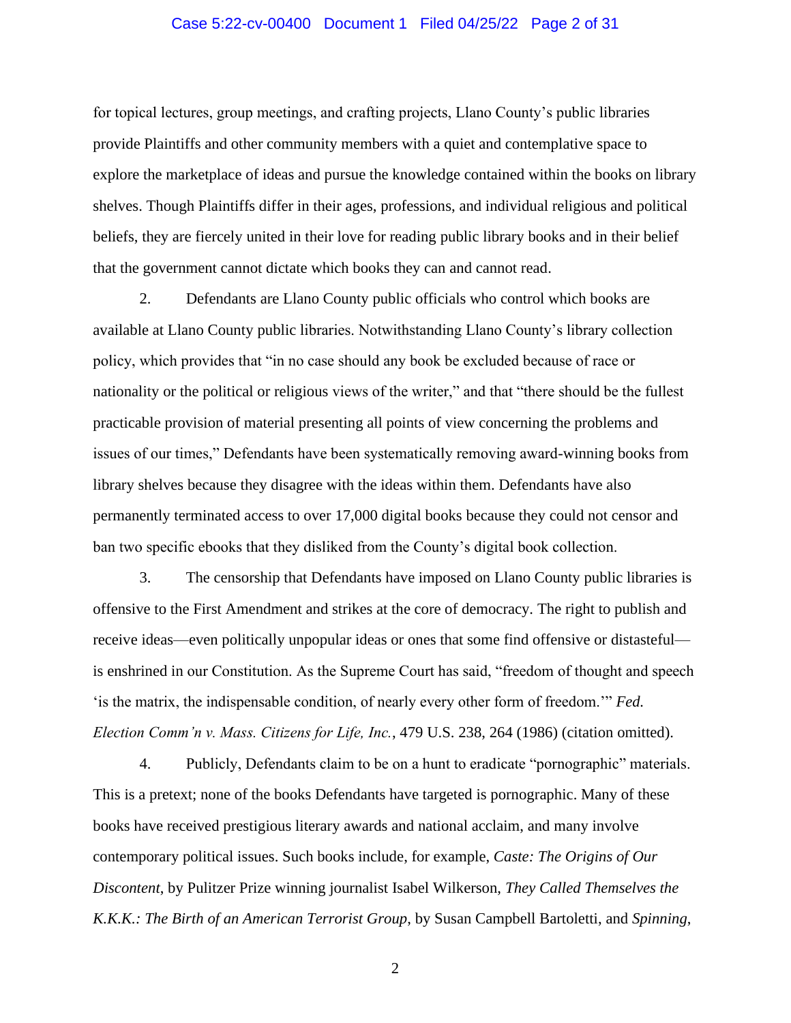### Case 5:22-cv-00400 Document 1 Filed 04/25/22 Page 2 of 31

for topical lectures, group meetings, and crafting projects, Llano County's public libraries provide Plaintiffs and other community members with a quiet and contemplative space to explore the marketplace of ideas and pursue the knowledge contained within the books on library shelves. Though Plaintiffs differ in their ages, professions, and individual religious and political beliefs, they are fiercely united in their love for reading public library books and in their belief that the government cannot dictate which books they can and cannot read.

2. Defendants are Llano County public officials who control which books are available at Llano County public libraries. Notwithstanding Llano County's library collection policy, which provides that "in no case should any book be excluded because of race or nationality or the political or religious views of the writer," and that "there should be the fullest practicable provision of material presenting all points of view concerning the problems and issues of our times," Defendants have been systematically removing award-winning books from library shelves because they disagree with the ideas within them. Defendants have also permanently terminated access to over 17,000 digital books because they could not censor and ban two specific ebooks that they disliked from the County's digital book collection.

3. The censorship that Defendants have imposed on Llano County public libraries is offensive to the First Amendment and strikes at the core of democracy. The right to publish and receive ideas—even politically unpopular ideas or ones that some find offensive or distasteful is enshrined in our Constitution. As the Supreme Court has said, "freedom of thought and speech 'is the matrix, the indispensable condition, of nearly every other form of freedom.'" *Fed. Election Comm'n v. Mass. Citizens for Life, Inc.*, 479 U.S. 238, 264 (1986) (citation omitted).

4. Publicly, Defendants claim to be on a hunt to eradicate "pornographic" materials. This is a pretext; none of the books Defendants have targeted is pornographic. Many of these books have received prestigious literary awards and national acclaim, and many involve contemporary political issues. Such books include, for example, *Caste: The Origins of Our Discontent*, by Pulitzer Prize winning journalist Isabel Wilkerson, *They Called Themselves the K.K.K.: The Birth of an American Terrorist Group*, by Susan Campbell Bartoletti, and *Spinning*,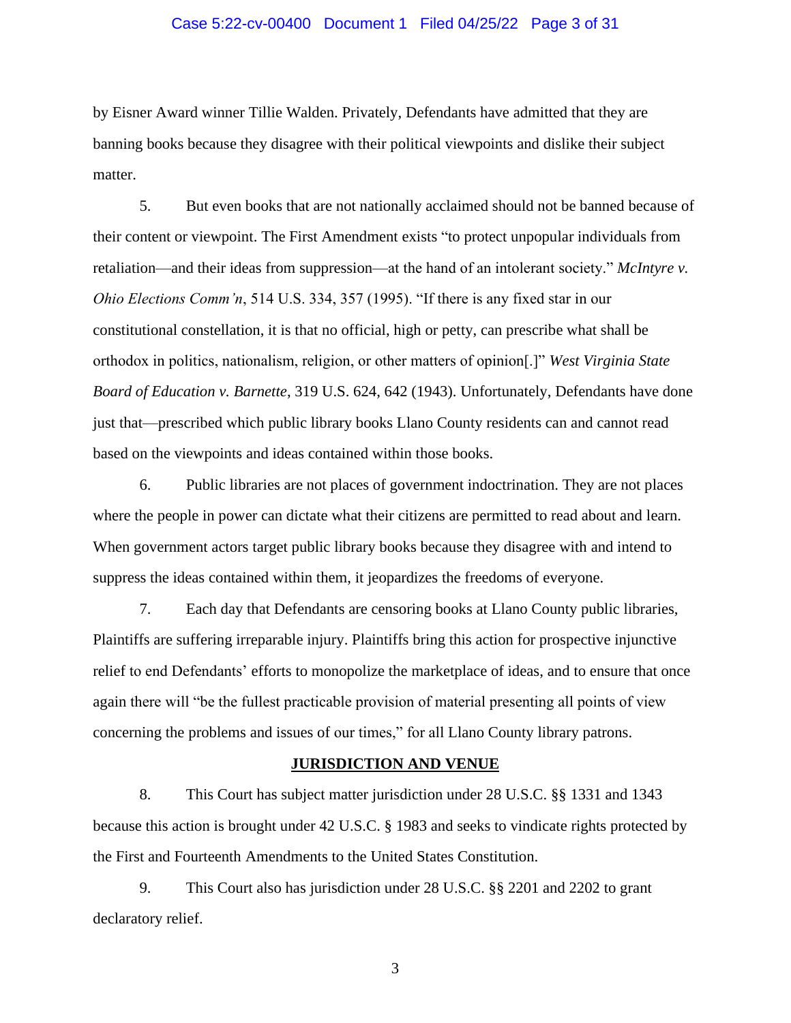### Case 5:22-cv-00400 Document 1 Filed 04/25/22 Page 3 of 31

by Eisner Award winner Tillie Walden. Privately, Defendants have admitted that they are banning books because they disagree with their political viewpoints and dislike their subject matter.

5. But even books that are not nationally acclaimed should not be banned because of their content or viewpoint. The First Amendment exists "to protect unpopular individuals from retaliation—and their ideas from suppression—at the hand of an intolerant society." *McIntyre v. Ohio Elections Comm'n*, 514 U.S. 334, 357 (1995). "If there is any fixed star in our constitutional constellation, it is that no official, high or petty, can prescribe what shall be orthodox in politics, nationalism, religion, or other matters of opinion[.]" *West Virginia State Board of Education v. Barnette*, 319 U.S. 624, 642 (1943). Unfortunately, Defendants have done just that—prescribed which public library books Llano County residents can and cannot read based on the viewpoints and ideas contained within those books.

6. Public libraries are not places of government indoctrination. They are not places where the people in power can dictate what their citizens are permitted to read about and learn. When government actors target public library books because they disagree with and intend to suppress the ideas contained within them, it jeopardizes the freedoms of everyone.

7. Each day that Defendants are censoring books at Llano County public libraries, Plaintiffs are suffering irreparable injury. Plaintiffs bring this action for prospective injunctive relief to end Defendants' efforts to monopolize the marketplace of ideas, and to ensure that once again there will "be the fullest practicable provision of material presenting all points of view concerning the problems and issues of our times," for all Llano County library patrons.

#### **JURISDICTION AND VENUE**

8. This Court has subject matter jurisdiction under 28 U.S.C. §§ 1331 and 1343 because this action is brought under 42 U.S.C. § 1983 and seeks to vindicate rights protected by the First and Fourteenth Amendments to the United States Constitution.

9. This Court also has jurisdiction under 28 U.S.C. §§ 2201 and 2202 to grant declaratory relief.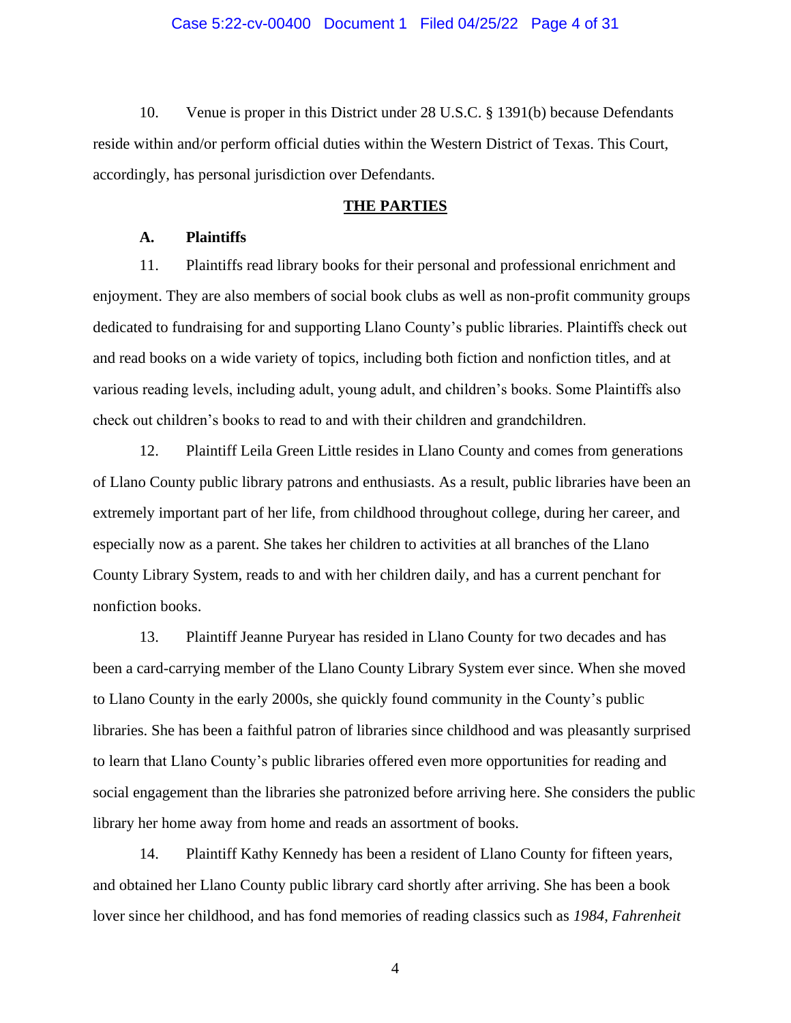### Case 5:22-cv-00400 Document 1 Filed 04/25/22 Page 4 of 31

10. Venue is proper in this District under 28 U.S.C. § 1391(b) because Defendants reside within and/or perform official duties within the Western District of Texas. This Court, accordingly, has personal jurisdiction over Defendants.

## **THE PARTIES**

### **A. Plaintiffs**

11. Plaintiffs read library books for their personal and professional enrichment and enjoyment. They are also members of social book clubs as well as non-profit community groups dedicated to fundraising for and supporting Llano County's public libraries. Plaintiffs check out and read books on a wide variety of topics, including both fiction and nonfiction titles, and at various reading levels, including adult, young adult, and children's books. Some Plaintiffs also check out children's books to read to and with their children and grandchildren.

12. Plaintiff Leila Green Little resides in Llano County and comes from generations of Llano County public library patrons and enthusiasts. As a result, public libraries have been an extremely important part of her life, from childhood throughout college, during her career, and especially now as a parent. She takes her children to activities at all branches of the Llano County Library System, reads to and with her children daily, and has a current penchant for nonfiction books.

13. Plaintiff Jeanne Puryear has resided in Llano County for two decades and has been a card-carrying member of the Llano County Library System ever since. When she moved to Llano County in the early 2000s, she quickly found community in the County's public libraries. She has been a faithful patron of libraries since childhood and was pleasantly surprised to learn that Llano County's public libraries offered even more opportunities for reading and social engagement than the libraries she patronized before arriving here. She considers the public library her home away from home and reads an assortment of books.

14. Plaintiff Kathy Kennedy has been a resident of Llano County for fifteen years, and obtained her Llano County public library card shortly after arriving. She has been a book lover since her childhood, and has fond memories of reading classics such as *1984*, *Fahrenheit*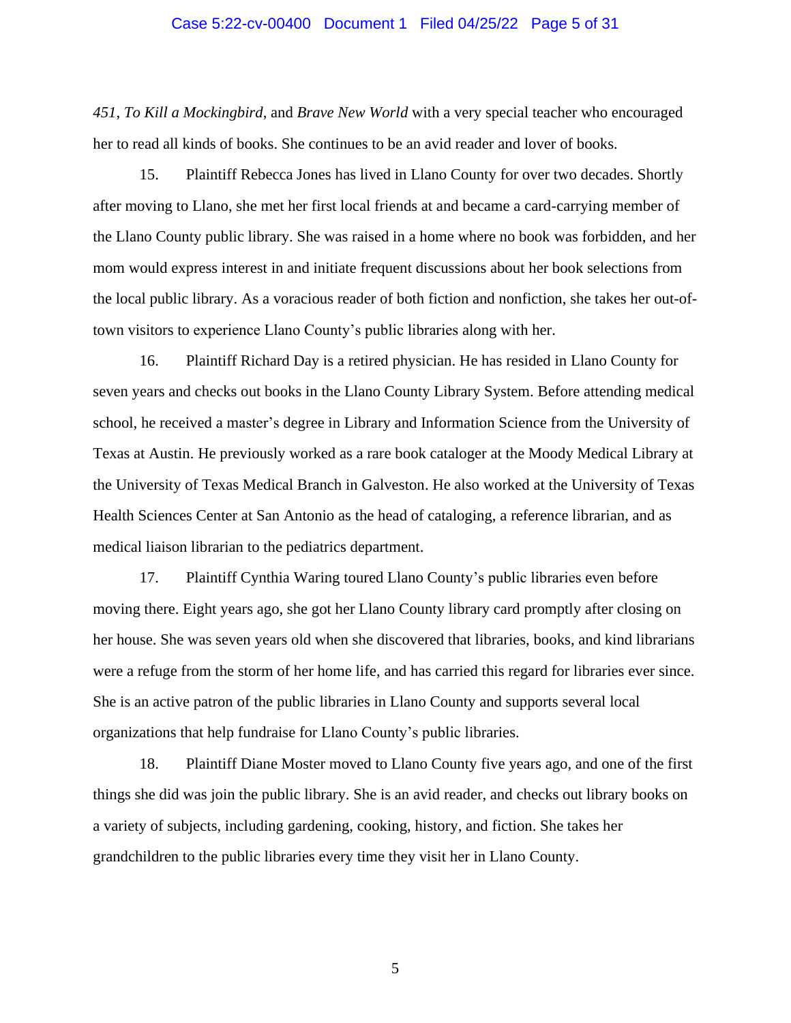#### Case 5:22-cv-00400 Document 1 Filed 04/25/22 Page 5 of 31

*451*, *To Kill a Mockingbird*, and *Brave New World* with a very special teacher who encouraged her to read all kinds of books. She continues to be an avid reader and lover of books.

15. Plaintiff Rebecca Jones has lived in Llano County for over two decades. Shortly after moving to Llano, she met her first local friends at and became a card-carrying member of the Llano County public library. She was raised in a home where no book was forbidden, and her mom would express interest in and initiate frequent discussions about her book selections from the local public library. As a voracious reader of both fiction and nonfiction, she takes her out-oftown visitors to experience Llano County's public libraries along with her.

16. Plaintiff Richard Day is a retired physician. He has resided in Llano County for seven years and checks out books in the Llano County Library System. Before attending medical school, he received a master's degree in Library and Information Science from the University of Texas at Austin. He previously worked as a rare book cataloger at the Moody Medical Library at the University of Texas Medical Branch in Galveston. He also worked at the University of Texas Health Sciences Center at San Antonio as the head of cataloging, a reference librarian, and as medical liaison librarian to the pediatrics department.

17. Plaintiff Cynthia Waring toured Llano County's public libraries even before moving there. Eight years ago, she got her Llano County library card promptly after closing on her house. She was seven years old when she discovered that libraries, books, and kind librarians were a refuge from the storm of her home life, and has carried this regard for libraries ever since. She is an active patron of the public libraries in Llano County and supports several local organizations that help fundraise for Llano County's public libraries.

18. Plaintiff Diane Moster moved to Llano County five years ago, and one of the first things she did was join the public library. She is an avid reader, and checks out library books on a variety of subjects, including gardening, cooking, history, and fiction. She takes her grandchildren to the public libraries every time they visit her in Llano County.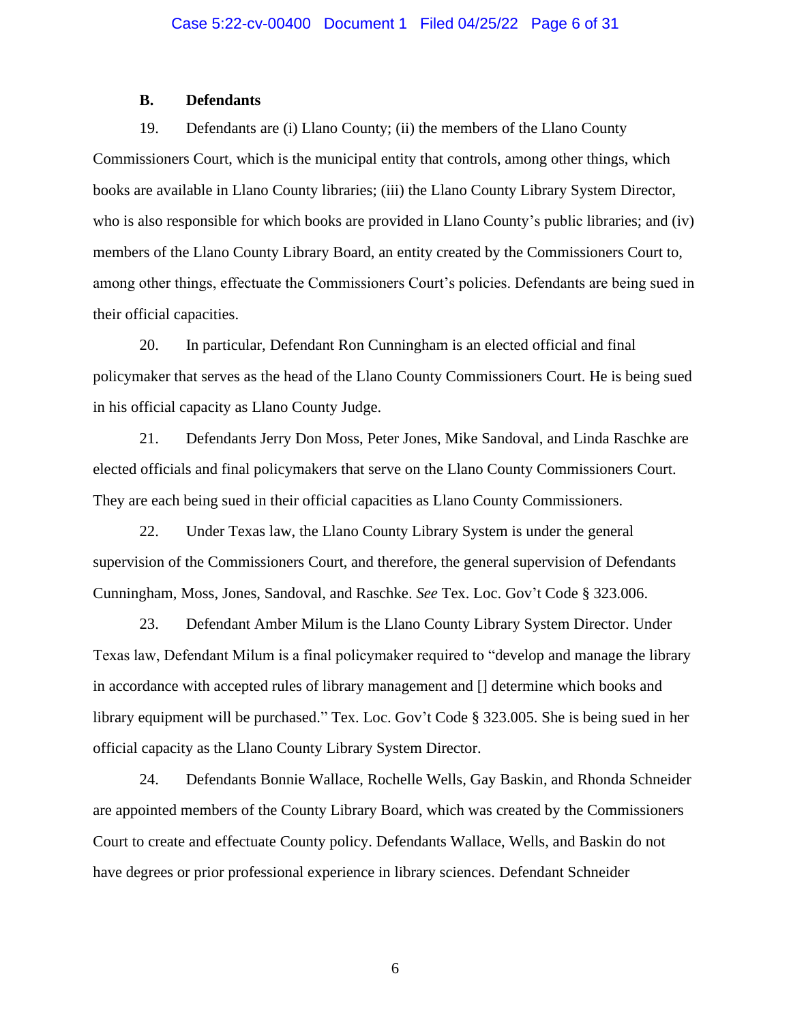### **B. Defendants**

19. Defendants are (i) Llano County; (ii) the members of the Llano County Commissioners Court, which is the municipal entity that controls, among other things, which books are available in Llano County libraries; (iii) the Llano County Library System Director, who is also responsible for which books are provided in Llano County's public libraries; and (iv) members of the Llano County Library Board, an entity created by the Commissioners Court to, among other things, effectuate the Commissioners Court's policies. Defendants are being sued in their official capacities.

20. In particular, Defendant Ron Cunningham is an elected official and final policymaker that serves as the head of the Llano County Commissioners Court. He is being sued in his official capacity as Llano County Judge.

21. Defendants Jerry Don Moss, Peter Jones, Mike Sandoval, and Linda Raschke are elected officials and final policymakers that serve on the Llano County Commissioners Court. They are each being sued in their official capacities as Llano County Commissioners.

22. Under Texas law, the Llano County Library System is under the general supervision of the Commissioners Court, and therefore, the general supervision of Defendants Cunningham, Moss, Jones, Sandoval, and Raschke. *See* Tex. Loc. Gov't Code § 323.006.

23. Defendant Amber Milum is the Llano County Library System Director. Under Texas law, Defendant Milum is a final policymaker required to "develop and manage the library in accordance with accepted rules of library management and [] determine which books and library equipment will be purchased." Tex. Loc. Gov't Code § 323.005. She is being sued in her official capacity as the Llano County Library System Director.

24. Defendants Bonnie Wallace, Rochelle Wells, Gay Baskin, and Rhonda Schneider are appointed members of the County Library Board, which was created by the Commissioners Court to create and effectuate County policy. Defendants Wallace, Wells, and Baskin do not have degrees or prior professional experience in library sciences. Defendant Schneider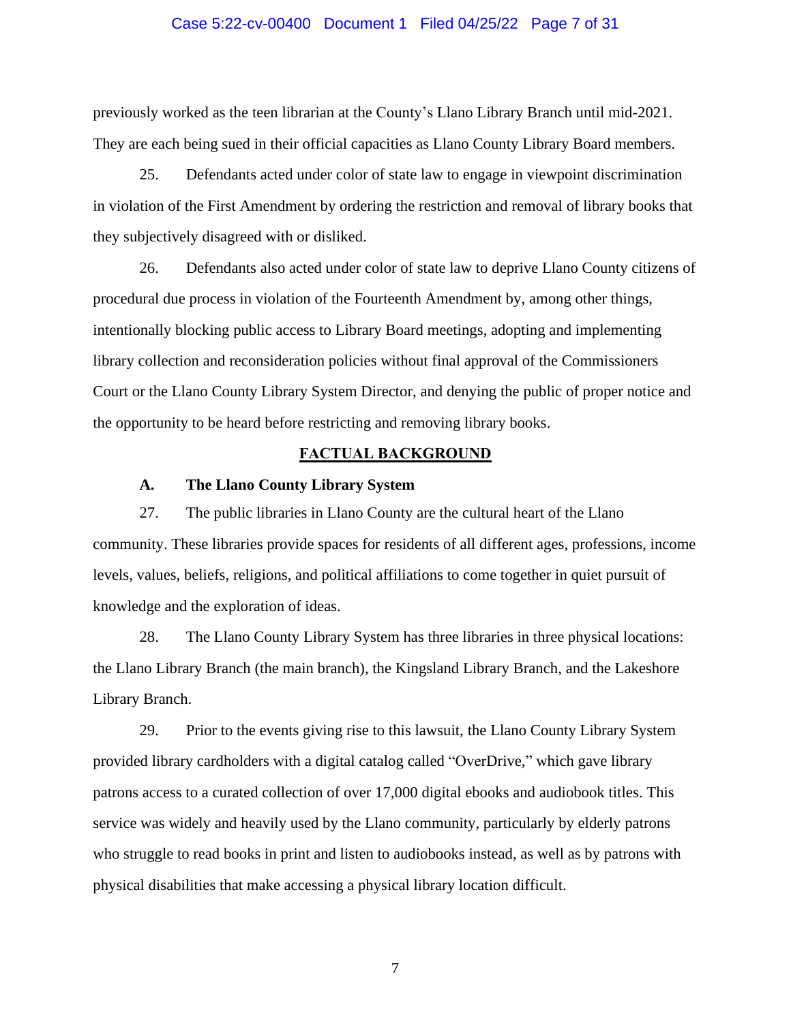### Case 5:22-cv-00400 Document 1 Filed 04/25/22 Page 7 of 31

previously worked as the teen librarian at the County's Llano Library Branch until mid-2021. They are each being sued in their official capacities as Llano County Library Board members.

25. Defendants acted under color of state law to engage in viewpoint discrimination in violation of the First Amendment by ordering the restriction and removal of library books that they subjectively disagreed with or disliked.

26. Defendants also acted under color of state law to deprive Llano County citizens of procedural due process in violation of the Fourteenth Amendment by, among other things, intentionally blocking public access to Library Board meetings, adopting and implementing library collection and reconsideration policies without final approval of the Commissioners Court or the Llano County Library System Director, and denying the public of proper notice and the opportunity to be heard before restricting and removing library books.

### **FACTUAL BACKGROUND**

### **A. The Llano County Library System**

27. The public libraries in Llano County are the cultural heart of the Llano community. These libraries provide spaces for residents of all different ages, professions, income levels, values, beliefs, religions, and political affiliations to come together in quiet pursuit of knowledge and the exploration of ideas.

28. The Llano County Library System has three libraries in three physical locations: the Llano Library Branch (the main branch), the Kingsland Library Branch, and the Lakeshore Library Branch.

29. Prior to the events giving rise to this lawsuit, the Llano County Library System provided library cardholders with a digital catalog called "OverDrive," which gave library patrons access to a curated collection of over 17,000 digital ebooks and audiobook titles. This service was widely and heavily used by the Llano community, particularly by elderly patrons who struggle to read books in print and listen to audiobooks instead, as well as by patrons with physical disabilities that make accessing a physical library location difficult.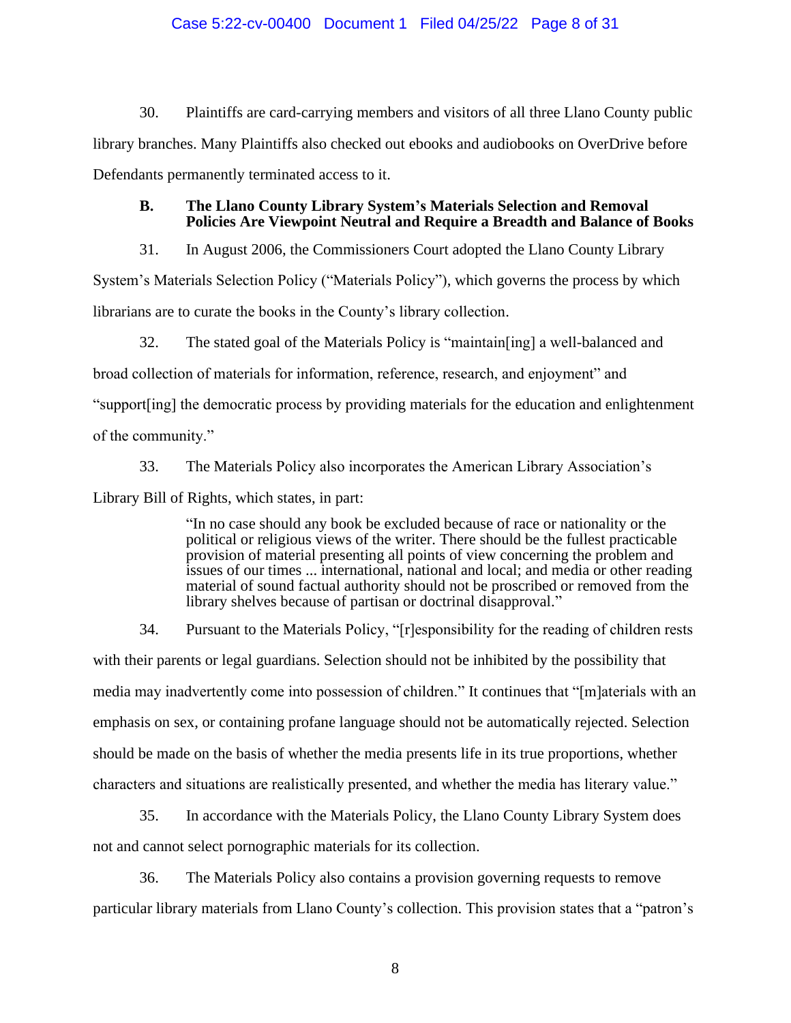### Case 5:22-cv-00400 Document 1 Filed 04/25/22 Page 8 of 31

30. Plaintiffs are card-carrying members and visitors of all three Llano County public library branches. Many Plaintiffs also checked out ebooks and audiobooks on OverDrive before Defendants permanently terminated access to it.

### **B. The Llano County Library System's Materials Selection and Removal Policies Are Viewpoint Neutral and Require a Breadth and Balance of Books**

31. In August 2006, the Commissioners Court adopted the Llano County Library

System's Materials Selection Policy ("Materials Policy"), which governs the process by which

librarians are to curate the books in the County's library collection.

32. The stated goal of the Materials Policy is "maintain[ing] a well-balanced and broad collection of materials for information, reference, research, and enjoyment" and "support[ing] the democratic process by providing materials for the education and enlightenment of the community."

33. The Materials Policy also incorporates the American Library Association's Library Bill of Rights, which states, in part:

> "In no case should any book be excluded because of race or nationality or the political or religious views of the writer. There should be the fullest practicable provision of material presenting all points of view concerning the problem and issues of our times ... international, national and local; and media or other reading material of sound factual authority should not be proscribed or removed from the library shelves because of partisan or doctrinal disapproval."

34. Pursuant to the Materials Policy, "[r]esponsibility for the reading of children rests with their parents or legal guardians. Selection should not be inhibited by the possibility that media may inadvertently come into possession of children." It continues that "[m]aterials with an emphasis on sex, or containing profane language should not be automatically rejected. Selection should be made on the basis of whether the media presents life in its true proportions, whether characters and situations are realistically presented, and whether the media has literary value."

35. In accordance with the Materials Policy, the Llano County Library System does not and cannot select pornographic materials for its collection.

36. The Materials Policy also contains a provision governing requests to remove particular library materials from Llano County's collection. This provision states that a "patron's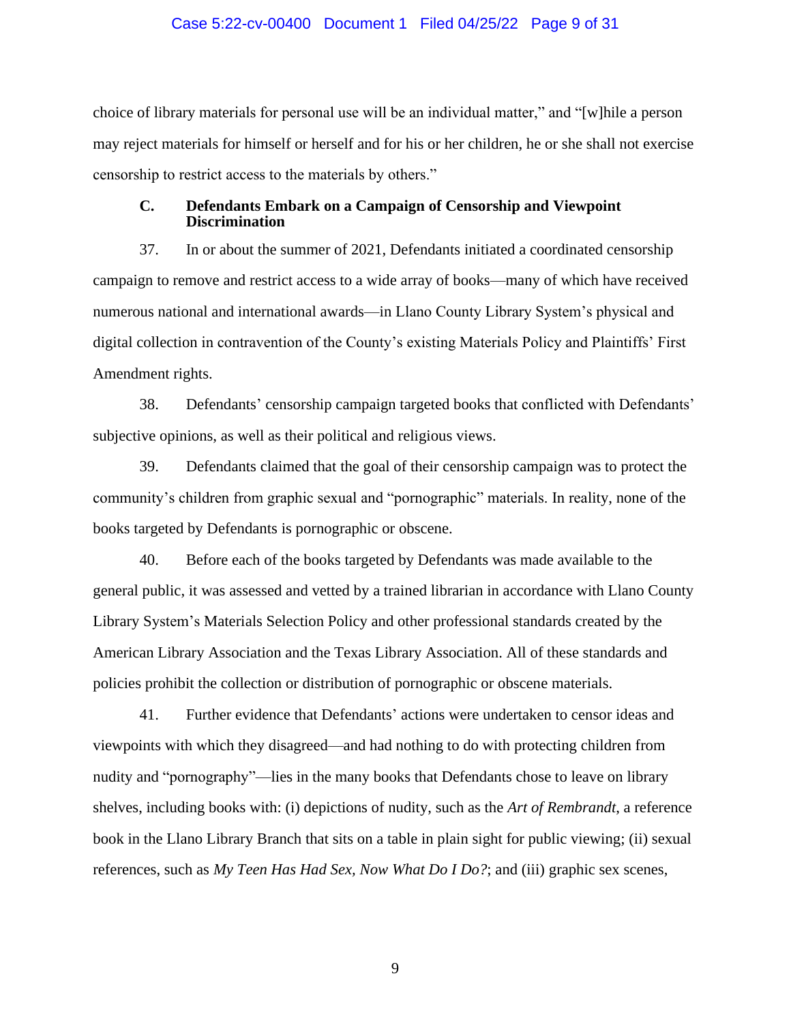#### Case 5:22-cv-00400 Document 1 Filed 04/25/22 Page 9 of 31

choice of library materials for personal use will be an individual matter," and "[w]hile a person may reject materials for himself or herself and for his or her children, he or she shall not exercise censorship to restrict access to the materials by others."

### **C. Defendants Embark on a Campaign of Censorship and Viewpoint Discrimination**

37. In or about the summer of 2021, Defendants initiated a coordinated censorship campaign to remove and restrict access to a wide array of books—many of which have received numerous national and international awards—in Llano County Library System's physical and digital collection in contravention of the County's existing Materials Policy and Plaintiffs' First Amendment rights.

38. Defendants' censorship campaign targeted books that conflicted with Defendants' subjective opinions, as well as their political and religious views.

39. Defendants claimed that the goal of their censorship campaign was to protect the community's children from graphic sexual and "pornographic" materials. In reality, none of the books targeted by Defendants is pornographic or obscene.

40. Before each of the books targeted by Defendants was made available to the general public, it was assessed and vetted by a trained librarian in accordance with Llano County Library System's Materials Selection Policy and other professional standards created by the American Library Association and the Texas Library Association. All of these standards and policies prohibit the collection or distribution of pornographic or obscene materials.

41. Further evidence that Defendants' actions were undertaken to censor ideas and viewpoints with which they disagreed—and had nothing to do with protecting children from nudity and "pornography"—lies in the many books that Defendants chose to leave on library shelves, including books with: (i) depictions of nudity, such as the *Art of Rembrandt*, a reference book in the Llano Library Branch that sits on a table in plain sight for public viewing; (ii) sexual references, such as *My Teen Has Had Sex, Now What Do I Do?*; and (iii) graphic sex scenes,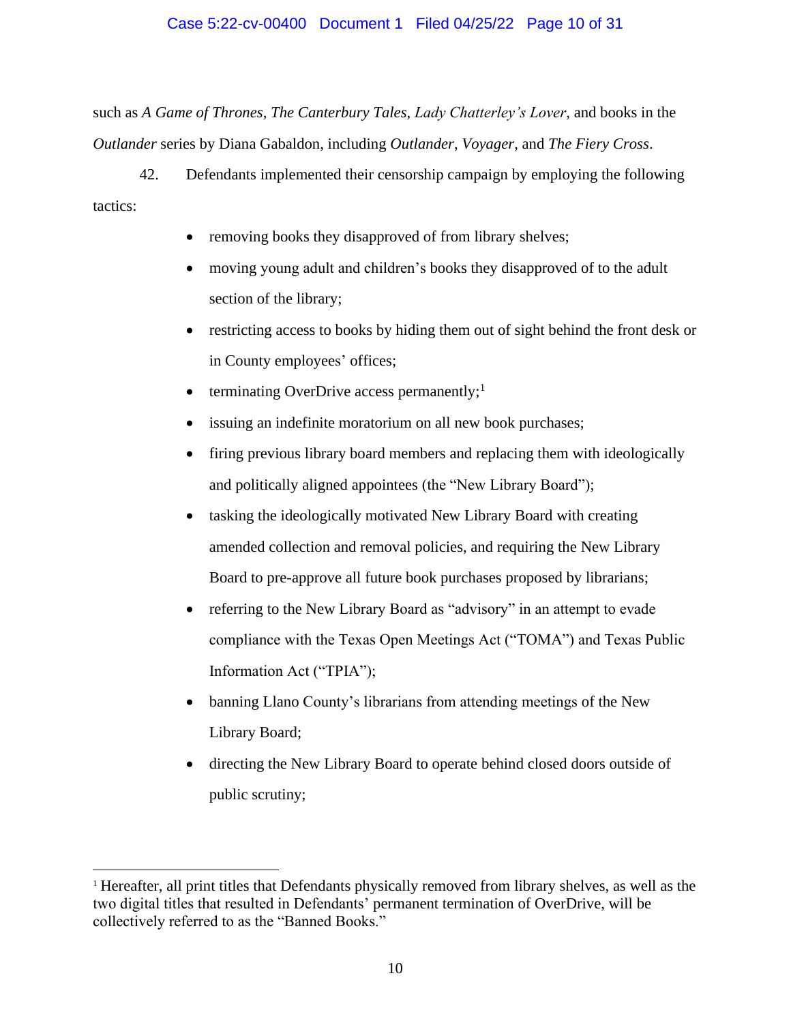### Case 5:22-cv-00400 Document 1 Filed 04/25/22 Page 10 of 31

such as *A Game of Thrones*, *The Canterbury Tales*, *Lady Chatterley's Lover*, and books in the *Outlander* series by Diana Gabaldon, including *Outlander*, *Voyager*, and *The Fiery Cross*.

42. Defendants implemented their censorship campaign by employing the following tactics:

- removing books they disapproved of from library shelves;
- moving young adult and children's books they disapproved of to the adult section of the library;
- restricting access to books by hiding them out of sight behind the front desk or in County employees' offices;
- terminating OverDrive access permanently;<sup>1</sup>
- issuing an indefinite moratorium on all new book purchases;
- firing previous library board members and replacing them with ideologically and politically aligned appointees (the "New Library Board");
- tasking the ideologically motivated New Library Board with creating amended collection and removal policies, and requiring the New Library Board to pre-approve all future book purchases proposed by librarians;
- referring to the New Library Board as "advisory" in an attempt to evade compliance with the Texas Open Meetings Act ("TOMA") and Texas Public Information Act ("TPIA");
- banning Llano County's librarians from attending meetings of the New Library Board;
- directing the New Library Board to operate behind closed doors outside of public scrutiny;

<sup>1</sup> Hereafter, all print titles that Defendants physically removed from library shelves, as well as the two digital titles that resulted in Defendants' permanent termination of OverDrive, will be collectively referred to as the "Banned Books."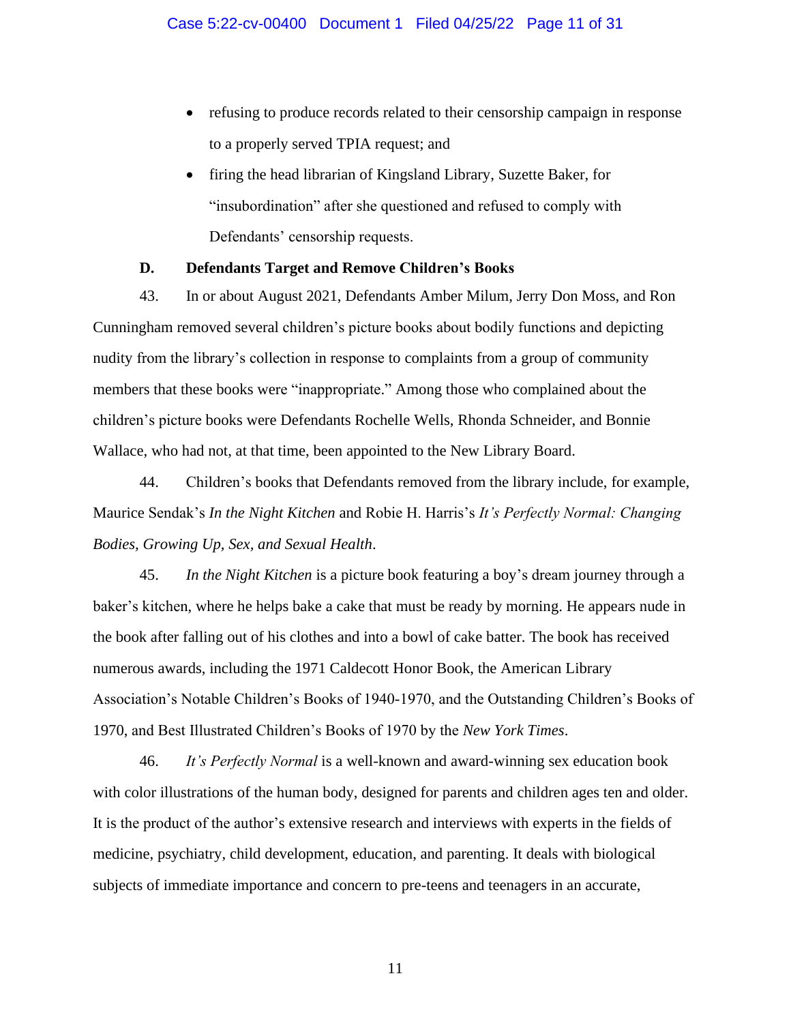- refusing to produce records related to their censorship campaign in response to a properly served TPIA request; and
- firing the head librarian of Kingsland Library, Suzette Baker, for "insubordination" after she questioned and refused to comply with Defendants' censorship requests.

### **D. Defendants Target and Remove Children's Books**

43. In or about August 2021, Defendants Amber Milum, Jerry Don Moss, and Ron Cunningham removed several children's picture books about bodily functions and depicting nudity from the library's collection in response to complaints from a group of community members that these books were "inappropriate." Among those who complained about the children's picture books were Defendants Rochelle Wells, Rhonda Schneider, and Bonnie Wallace, who had not, at that time, been appointed to the New Library Board.

44. Children's books that Defendants removed from the library include, for example, Maurice Sendak's *In the Night Kitchen* and Robie H. Harris's *It's Perfectly Normal: Changing Bodies, Growing Up, Sex, and Sexual Health*.

45. *In the Night Kitchen* is a picture book featuring a boy's dream journey through a baker's kitchen, where he helps bake a cake that must be ready by morning. He appears nude in the book after falling out of his clothes and into a bowl of cake batter. The book has received numerous awards, including the 1971 Caldecott Honor Book, the American Library Association's Notable Children's Books of 1940-1970, and the Outstanding Children's Books of 1970, and Best Illustrated Children's Books of 1970 by the *New York Times*.

46. *It's Perfectly Normal* is a well-known and award-winning sex education book with color illustrations of the human body, designed for parents and children ages ten and older. It is the product of the author's extensive research and interviews with experts in the fields of medicine, psychiatry, child development, education, and parenting. It deals with biological subjects of immediate importance and concern to pre-teens and teenagers in an accurate,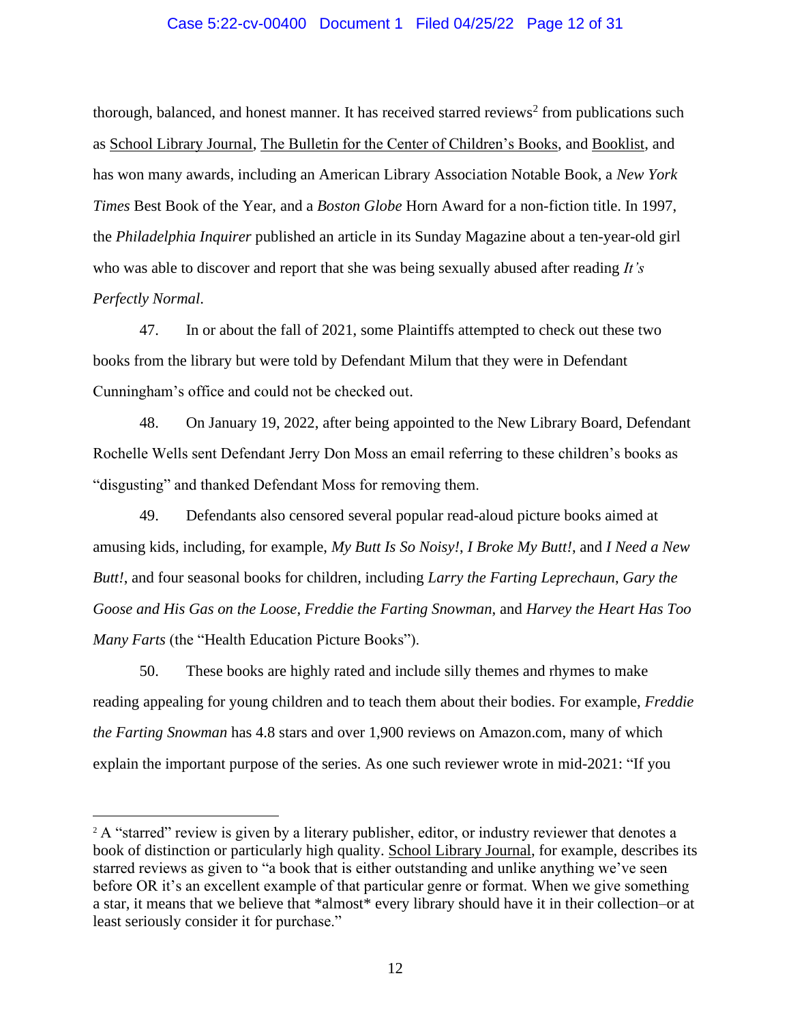### Case 5:22-cv-00400 Document 1 Filed 04/25/22 Page 12 of 31

thorough, balanced, and honest manner. It has received starred reviews<sup>2</sup> from publications such as School Library Journal, The Bulletin for the Center of Children's Books, and Booklist, and has won many awards, including an American Library Association Notable Book, a *New York Times* Best Book of the Year, and a *Boston Globe* Horn Award for a non-fiction title. In 1997, the *Philadelphia Inquirer* published an article in its Sunday Magazine about a ten-year-old girl who was able to discover and report that she was being sexually abused after reading *It's Perfectly Normal*.

47. In or about the fall of 2021, some Plaintiffs attempted to check out these two books from the library but were told by Defendant Milum that they were in Defendant Cunningham's office and could not be checked out.

48. On January 19, 2022, after being appointed to the New Library Board, Defendant Rochelle Wells sent Defendant Jerry Don Moss an email referring to these children's books as "disgusting" and thanked Defendant Moss for removing them.

49. Defendants also censored several popular read-aloud picture books aimed at amusing kids, including, for example, *My Butt Is So Noisy!*, *I Broke My Butt!*, and *I Need a New Butt!*, and four seasonal books for children, including *Larry the Farting Leprechaun*, *Gary the Goose and His Gas on the Loose*, *Freddie the Farting Snowman*, and *Harvey the Heart Has Too Many Farts* (the "Health Education Picture Books").

50. These books are highly rated and include silly themes and rhymes to make reading appealing for young children and to teach them about their bodies. For example, *Freddie the Farting Snowman* has 4.8 stars and over 1,900 reviews on Amazon.com, many of which explain the important purpose of the series. As one such reviewer wrote in mid-2021: "If you

<sup>&</sup>lt;sup>2</sup> A "starred" review is given by a literary publisher, editor, or industry reviewer that denotes a book of distinction or particularly high quality. School Library Journal, for example, describes its starred reviews as given to "a book that is either outstanding and unlike anything we've seen before OR it's an excellent example of that particular genre or format. When we give something a star, it means that we believe that \*almost\* every library should have it in their collection–or at least seriously consider it for purchase."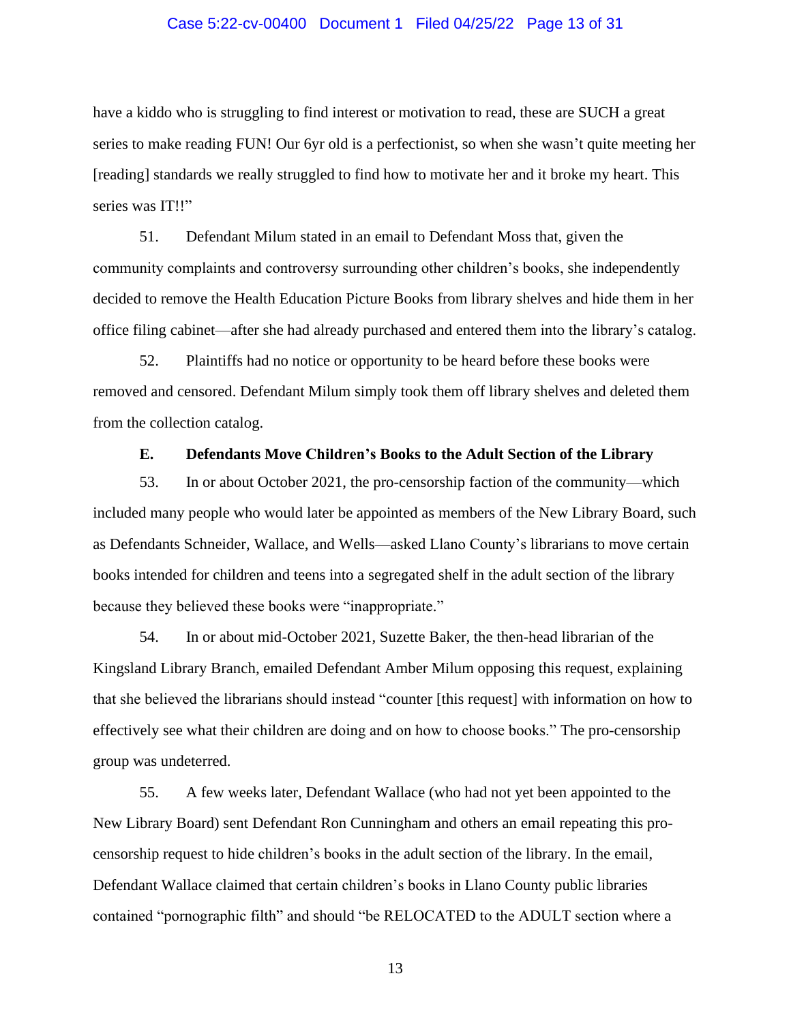### Case 5:22-cv-00400 Document 1 Filed 04/25/22 Page 13 of 31

have a kiddo who is struggling to find interest or motivation to read, these are SUCH a great series to make reading FUN! Our 6yr old is a perfectionist, so when she wasn't quite meeting her [reading] standards we really struggled to find how to motivate her and it broke my heart. This series was IT!!"

51. Defendant Milum stated in an email to Defendant Moss that, given the community complaints and controversy surrounding other children's books, she independently decided to remove the Health Education Picture Books from library shelves and hide them in her office filing cabinet—after she had already purchased and entered them into the library's catalog.

52. Plaintiffs had no notice or opportunity to be heard before these books were removed and censored. Defendant Milum simply took them off library shelves and deleted them from the collection catalog.

### **E. Defendants Move Children's Books to the Adult Section of the Library**

53. In or about October 2021, the pro-censorship faction of the community—which included many people who would later be appointed as members of the New Library Board, such as Defendants Schneider, Wallace, and Wells—asked Llano County's librarians to move certain books intended for children and teens into a segregated shelf in the adult section of the library because they believed these books were "inappropriate."

54. In or about mid-October 2021, Suzette Baker, the then-head librarian of the Kingsland Library Branch, emailed Defendant Amber Milum opposing this request, explaining that she believed the librarians should instead "counter [this request] with information on how to effectively see what their children are doing and on how to choose books." The pro-censorship group was undeterred.

55. A few weeks later, Defendant Wallace (who had not yet been appointed to the New Library Board) sent Defendant Ron Cunningham and others an email repeating this procensorship request to hide children's books in the adult section of the library. In the email, Defendant Wallace claimed that certain children's books in Llano County public libraries contained "pornographic filth" and should "be RELOCATED to the ADULT section where a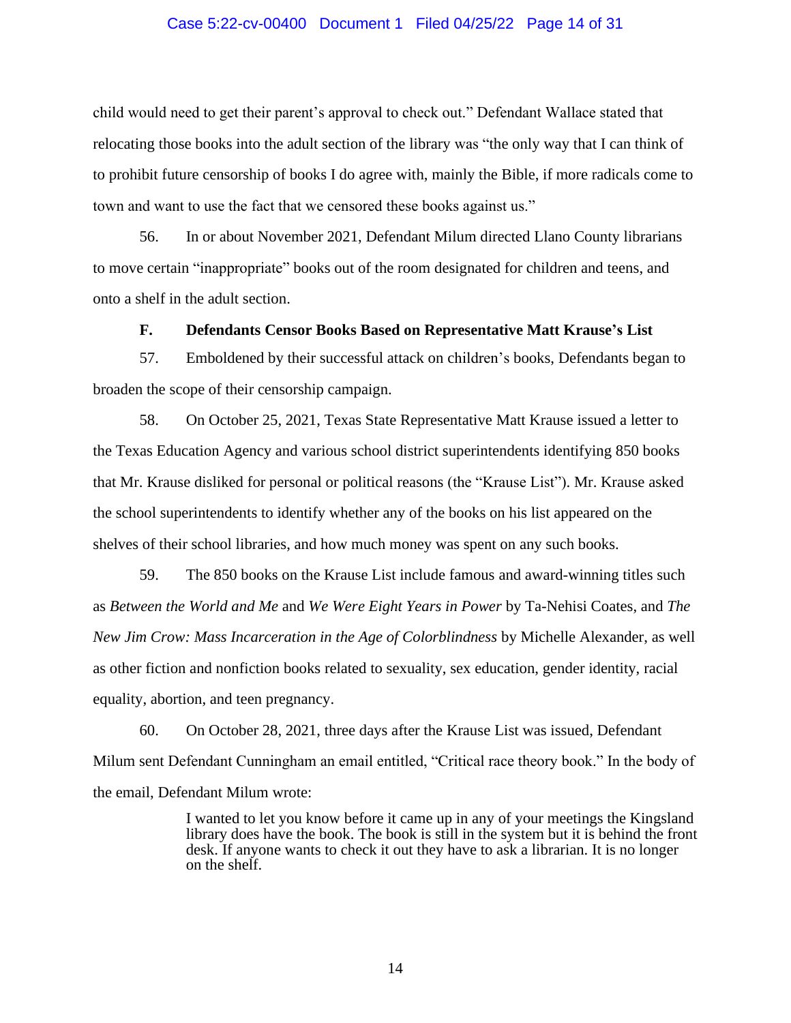### Case 5:22-cv-00400 Document 1 Filed 04/25/22 Page 14 of 31

child would need to get their parent's approval to check out." Defendant Wallace stated that relocating those books into the adult section of the library was "the only way that I can think of to prohibit future censorship of books I do agree with, mainly the Bible, if more radicals come to town and want to use the fact that we censored these books against us."

56. In or about November 2021, Defendant Milum directed Llano County librarians to move certain "inappropriate" books out of the room designated for children and teens, and onto a shelf in the adult section.

### **F. Defendants Censor Books Based on Representative Matt Krause's List**

57. Emboldened by their successful attack on children's books, Defendants began to broaden the scope of their censorship campaign.

58. On October 25, 2021, Texas State Representative Matt Krause issued a letter to the Texas Education Agency and various school district superintendents identifying 850 books that Mr. Krause disliked for personal or political reasons (the "Krause List"). Mr. Krause asked the school superintendents to identify whether any of the books on his list appeared on the shelves of their school libraries, and how much money was spent on any such books.

59. The 850 books on the Krause List include famous and award-winning titles such as *Between the World and Me* and *We Were Eight Years in Power* by Ta-Nehisi Coates, and *The New Jim Crow: Mass Incarceration in the Age of Colorblindness* by Michelle Alexander, as well as other fiction and nonfiction books related to sexuality, sex education, gender identity, racial equality, abortion, and teen pregnancy.

60. On October 28, 2021, three days after the Krause List was issued, Defendant Milum sent Defendant Cunningham an email entitled, "Critical race theory book." In the body of the email, Defendant Milum wrote:

> I wanted to let you know before it came up in any of your meetings the Kingsland library does have the book. The book is still in the system but it is behind the front desk. If anyone wants to check it out they have to ask a librarian. It is no longer on the shelf.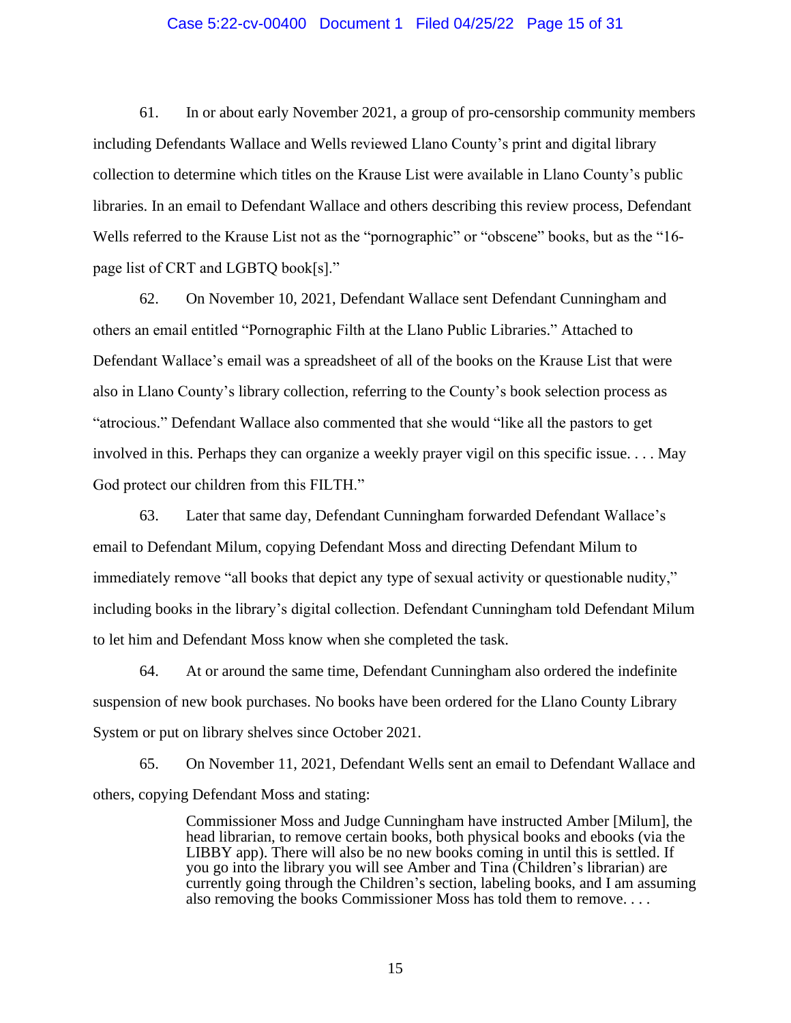### Case 5:22-cv-00400 Document 1 Filed 04/25/22 Page 15 of 31

61. In or about early November 2021, a group of pro-censorship community members including Defendants Wallace and Wells reviewed Llano County's print and digital library collection to determine which titles on the Krause List were available in Llano County's public libraries. In an email to Defendant Wallace and others describing this review process, Defendant Wells referred to the Krause List not as the "pornographic" or "obscene" books, but as the "16 page list of CRT and LGBTQ book[s]."

62. On November 10, 2021, Defendant Wallace sent Defendant Cunningham and others an email entitled "Pornographic Filth at the Llano Public Libraries." Attached to Defendant Wallace's email was a spreadsheet of all of the books on the Krause List that were also in Llano County's library collection, referring to the County's book selection process as "atrocious." Defendant Wallace also commented that she would "like all the pastors to get involved in this. Perhaps they can organize a weekly prayer vigil on this specific issue. . . . May God protect our children from this FILTH."

63. Later that same day, Defendant Cunningham forwarded Defendant Wallace's email to Defendant Milum, copying Defendant Moss and directing Defendant Milum to immediately remove "all books that depict any type of sexual activity or questionable nudity," including books in the library's digital collection. Defendant Cunningham told Defendant Milum to let him and Defendant Moss know when she completed the task.

64. At or around the same time, Defendant Cunningham also ordered the indefinite suspension of new book purchases. No books have been ordered for the Llano County Library System or put on library shelves since October 2021.

65. On November 11, 2021, Defendant Wells sent an email to Defendant Wallace and others, copying Defendant Moss and stating:

> Commissioner Moss and Judge Cunningham have instructed Amber [Milum], the head librarian, to remove certain books, both physical books and ebooks (via the LIBBY app). There will also be no new books coming in until this is settled. If you go into the library you will see Amber and Tina (Children's librarian) are currently going through the Children's section, labeling books, and I am assuming also removing the books Commissioner Moss has told them to remove. . . .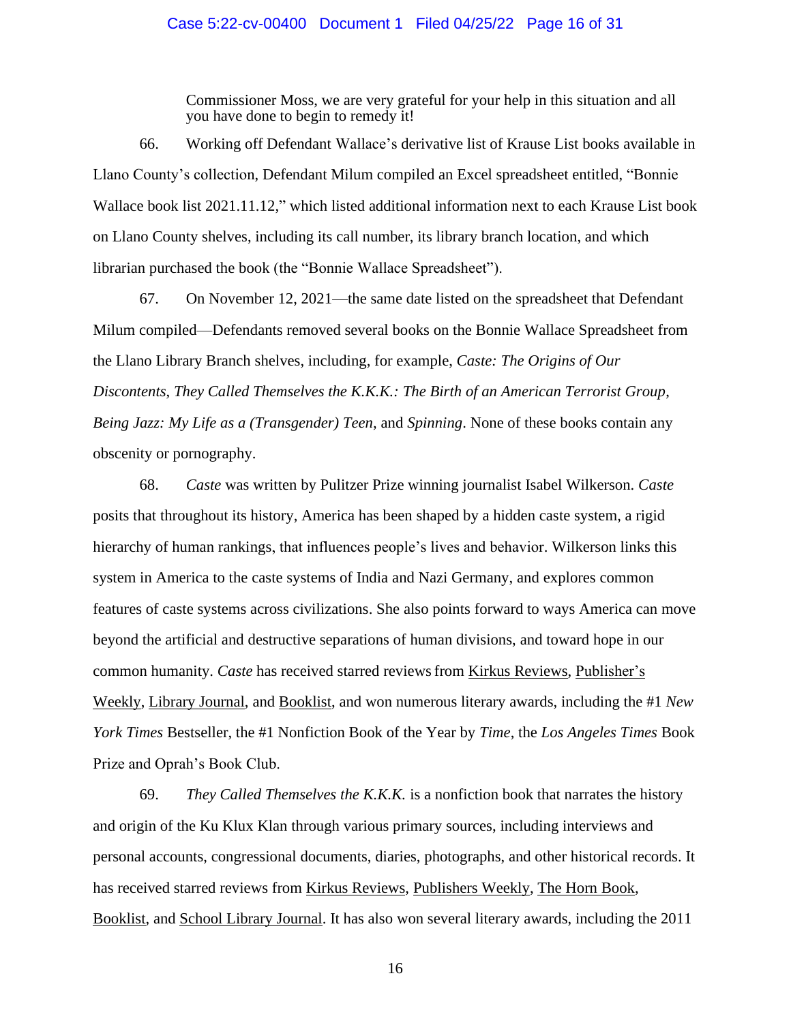### Case 5:22-cv-00400 Document 1 Filed 04/25/22 Page 16 of 31

Commissioner Moss, we are very grateful for your help in this situation and all you have done to begin to remedy it!

66. Working off Defendant Wallace's derivative list of Krause List books available in Llano County's collection, Defendant Milum compiled an Excel spreadsheet entitled, "Bonnie Wallace book list 2021.11.12," which listed additional information next to each Krause List book on Llano County shelves, including its call number, its library branch location, and which librarian purchased the book (the "Bonnie Wallace Spreadsheet").

67. On November 12, 2021—the same date listed on the spreadsheet that Defendant Milum compiled—Defendants removed several books on the Bonnie Wallace Spreadsheet from the Llano Library Branch shelves, including, for example, *Caste: The Origins of Our Discontents*, *They Called Themselves the K.K.K.: The Birth of an American Terrorist Group*, *Being Jazz: My Life as a (Transgender) Teen*, and *Spinning*. None of these books contain any obscenity or pornography.

68. *Caste* was written by Pulitzer Prize winning journalist Isabel Wilkerson. *Caste* posits that throughout its history, America has been shaped by a hidden caste system, a rigid hierarchy of human rankings, that influences people's lives and behavior. Wilkerson links this system in America to the caste systems of India and Nazi Germany, and explores common features of caste systems across civilizations. She also points forward to ways America can move beyond the artificial and destructive separations of human divisions, and toward hope in our common humanity. *Caste* has received starred reviewsfrom Kirkus Reviews, Publisher's Weekly, Library Journal, and Booklist, and won numerous literary awards, including the #1 *New York Times* Bestseller, the #1 Nonfiction Book of the Year by *Time*, the *Los Angeles Times* Book Prize and Oprah's Book Club.

69. *They Called Themselves the K.K.K.* is a nonfiction book that narrates the history and origin of the Ku Klux Klan through various primary sources, including interviews and personal accounts, congressional documents, diaries, photographs, and other historical records. It has received starred reviews from Kirkus Reviews, Publishers Weekly, The Horn Book, Booklist, and School Library Journal. It has also won several literary awards, including the 2011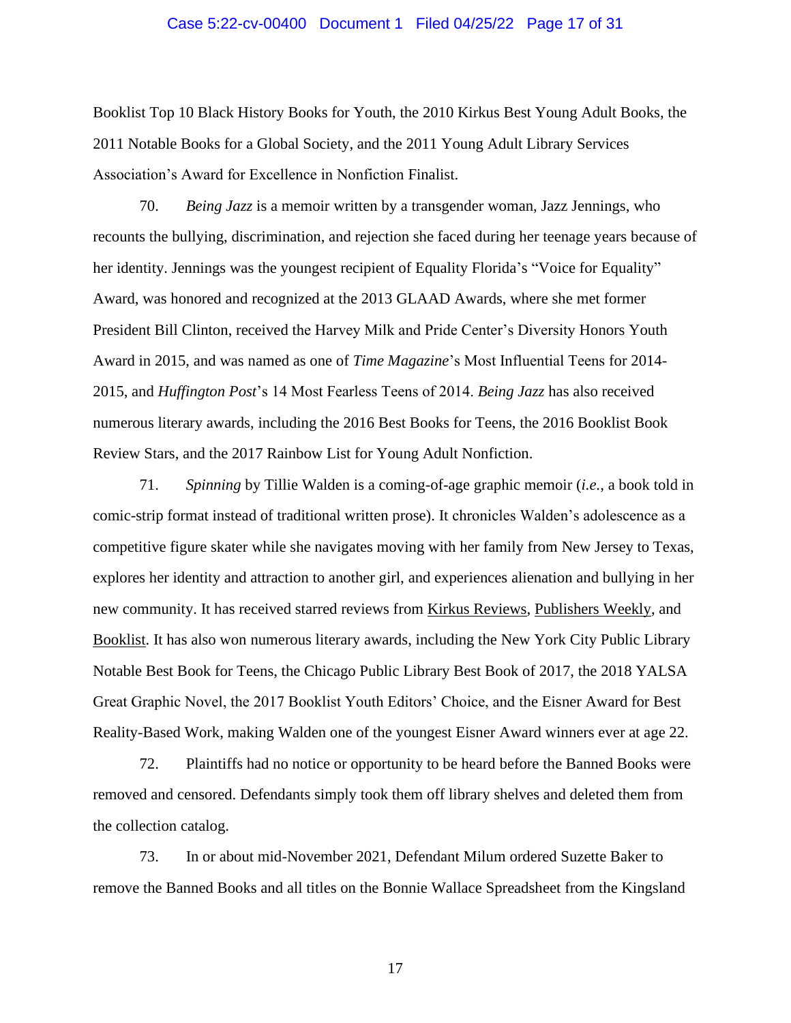#### Case 5:22-cv-00400 Document 1 Filed 04/25/22 Page 17 of 31

Booklist Top 10 Black History Books for Youth, the 2010 Kirkus Best Young Adult Books, the 2011 Notable Books for a Global Society, and the 2011 Young Adult Library Services Association's Award for Excellence in Nonfiction Finalist.

70. *Being Jazz* is a memoir written by a transgender woman, Jazz Jennings, who recounts the bullying, discrimination, and rejection she faced during her teenage years because of her identity. Jennings was the youngest recipient of Equality Florida's "Voice for Equality" Award, was honored and recognized at the 2013 GLAAD Awards, where she met former President Bill Clinton, received the Harvey Milk and Pride Center's Diversity Honors Youth Award in 2015, and was named as one of *Time Magazine*'s Most Influential Teens for 2014- 2015, and *Huffington Post*'s 14 Most Fearless Teens of 2014. *Being Jazz* has also received numerous literary awards, including the 2016 Best Books for Teens, the 2016 Booklist Book Review Stars, and the 2017 Rainbow List for Young Adult Nonfiction.

71. *Spinning* by Tillie Walden is a coming-of-age graphic memoir (*i.e.*, a book told in comic-strip format instead of traditional written prose). It chronicles Walden's adolescence as a competitive figure skater while she navigates moving with her family from New Jersey to Texas, explores her identity and attraction to another girl, and experiences alienation and bullying in her new community. It has received starred reviews from Kirkus Reviews, Publishers Weekly, and Booklist. It has also won numerous literary awards, including the New York City Public Library Notable Best Book for Teens, the Chicago Public Library Best Book of 2017, the 2018 YALSA Great Graphic Novel, the 2017 Booklist Youth Editors' Choice, and the Eisner Award for Best Reality-Based Work, making Walden one of the youngest Eisner Award winners ever at age 22.

72. Plaintiffs had no notice or opportunity to be heard before the Banned Books were removed and censored. Defendants simply took them off library shelves and deleted them from the collection catalog.

73. In or about mid-November 2021, Defendant Milum ordered Suzette Baker to remove the Banned Books and all titles on the Bonnie Wallace Spreadsheet from the Kingsland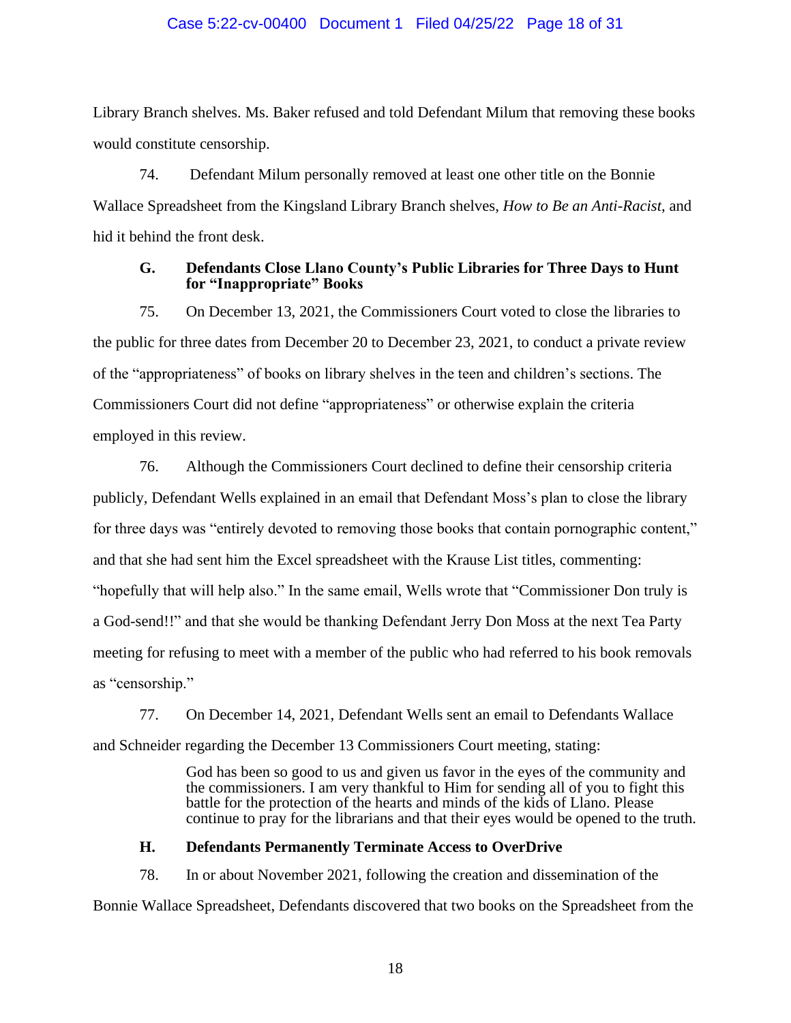### Case 5:22-cv-00400 Document 1 Filed 04/25/22 Page 18 of 31

Library Branch shelves. Ms. Baker refused and told Defendant Milum that removing these books would constitute censorship.

74. Defendant Milum personally removed at least one other title on the Bonnie Wallace Spreadsheet from the Kingsland Library Branch shelves, *How to Be an Anti-Racist*, and hid it behind the front desk.

### **G. Defendants Close Llano County's Public Libraries for Three Days to Hunt for "Inappropriate" Books**

75. On December 13, 2021, the Commissioners Court voted to close the libraries to the public for three dates from December 20 to December 23, 2021, to conduct a private review of the "appropriateness" of books on library shelves in the teen and children's sections. The Commissioners Court did not define "appropriateness" or otherwise explain the criteria employed in this review.

76. Although the Commissioners Court declined to define their censorship criteria publicly, Defendant Wells explained in an email that Defendant Moss's plan to close the library for three days was "entirely devoted to removing those books that contain pornographic content," and that she had sent him the Excel spreadsheet with the Krause List titles, commenting: "hopefully that will help also." In the same email, Wells wrote that "Commissioner Don truly is a God-send!!" and that she would be thanking Defendant Jerry Don Moss at the next Tea Party meeting for refusing to meet with a member of the public who had referred to his book removals as "censorship."

77. On December 14, 2021, Defendant Wells sent an email to Defendants Wallace and Schneider regarding the December 13 Commissioners Court meeting, stating:

> God has been so good to us and given us favor in the eyes of the community and the commissioners. I am very thankful to Him for sending all of you to fight this battle for the protection of the hearts and minds of the kids of Llano. Please continue to pray for the librarians and that their eyes would be opened to the truth.

### **H. Defendants Permanently Terminate Access to OverDrive**

78. In or about November 2021, following the creation and dissemination of the Bonnie Wallace Spreadsheet, Defendants discovered that two books on the Spreadsheet from the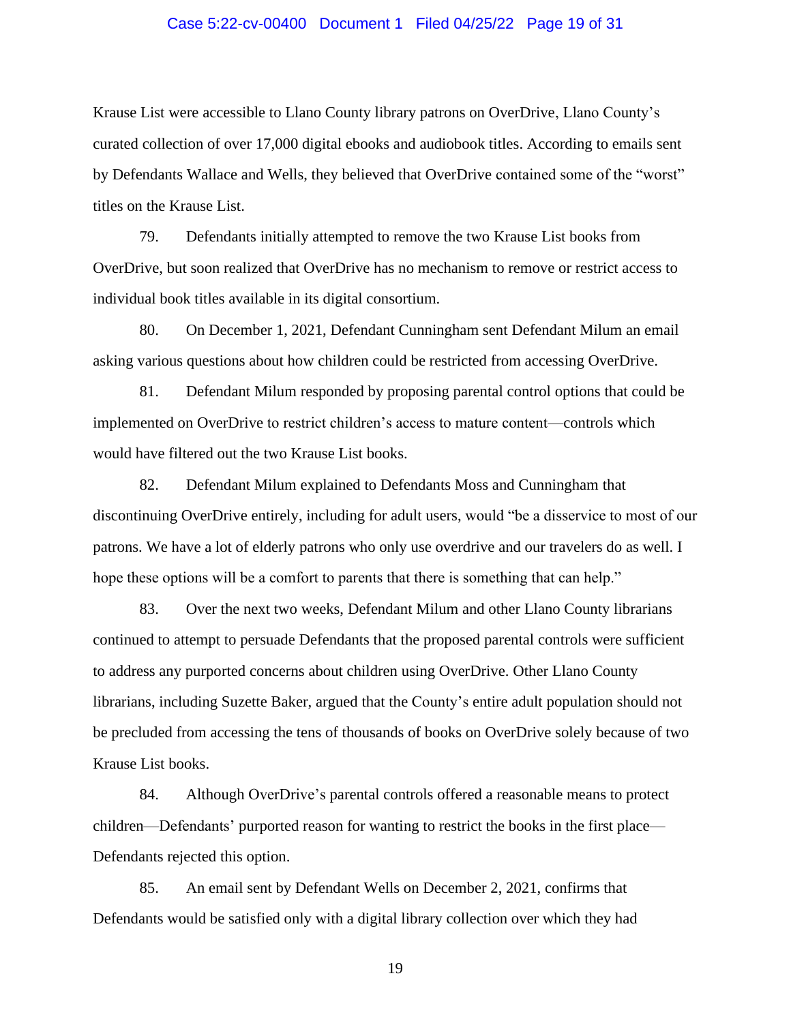### Case 5:22-cv-00400 Document 1 Filed 04/25/22 Page 19 of 31

Krause List were accessible to Llano County library patrons on OverDrive, Llano County's curated collection of over 17,000 digital ebooks and audiobook titles. According to emails sent by Defendants Wallace and Wells, they believed that OverDrive contained some of the "worst" titles on the Krause List.

79. Defendants initially attempted to remove the two Krause List books from OverDrive, but soon realized that OverDrive has no mechanism to remove or restrict access to individual book titles available in its digital consortium.

80. On December 1, 2021, Defendant Cunningham sent Defendant Milum an email asking various questions about how children could be restricted from accessing OverDrive.

81. Defendant Milum responded by proposing parental control options that could be implemented on OverDrive to restrict children's access to mature content—controls which would have filtered out the two Krause List books.

82. Defendant Milum explained to Defendants Moss and Cunningham that discontinuing OverDrive entirely, including for adult users, would "be a disservice to most of our patrons. We have a lot of elderly patrons who only use overdrive and our travelers do as well. I hope these options will be a comfort to parents that there is something that can help."

83. Over the next two weeks, Defendant Milum and other Llano County librarians continued to attempt to persuade Defendants that the proposed parental controls were sufficient to address any purported concerns about children using OverDrive. Other Llano County librarians, including Suzette Baker, argued that the County's entire adult population should not be precluded from accessing the tens of thousands of books on OverDrive solely because of two Krause List books.

84. Although OverDrive's parental controls offered a reasonable means to protect children—Defendants' purported reason for wanting to restrict the books in the first place— Defendants rejected this option.

85. An email sent by Defendant Wells on December 2, 2021, confirms that Defendants would be satisfied only with a digital library collection over which they had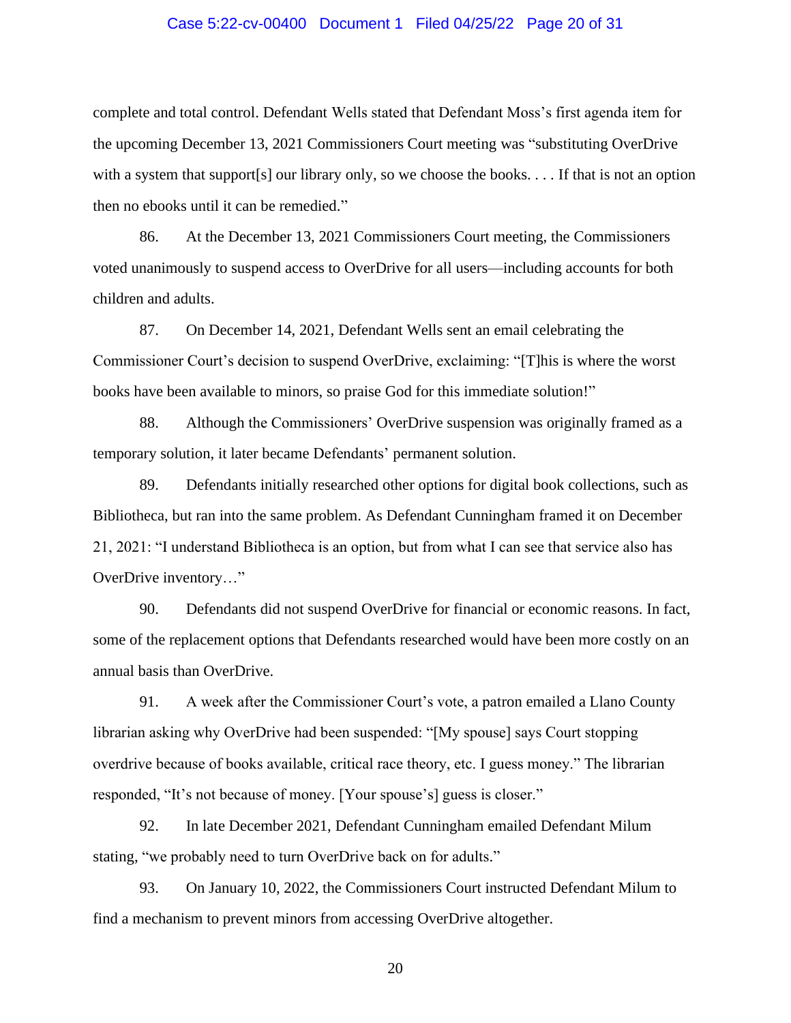### Case 5:22-cv-00400 Document 1 Filed 04/25/22 Page 20 of 31

complete and total control. Defendant Wells stated that Defendant Moss's first agenda item for the upcoming December 13, 2021 Commissioners Court meeting was "substituting OverDrive with a system that support[s] our library only, so we choose the books. . . . If that is not an option then no ebooks until it can be remedied."

86. At the December 13, 2021 Commissioners Court meeting, the Commissioners voted unanimously to suspend access to OverDrive for all users—including accounts for both children and adults.

87. On December 14, 2021, Defendant Wells sent an email celebrating the Commissioner Court's decision to suspend OverDrive, exclaiming: "[T]his is where the worst books have been available to minors, so praise God for this immediate solution!"

88. Although the Commissioners' OverDrive suspension was originally framed as a temporary solution, it later became Defendants' permanent solution.

89. Defendants initially researched other options for digital book collections, such as Bibliotheca, but ran into the same problem. As Defendant Cunningham framed it on December 21, 2021: "I understand Bibliotheca is an option, but from what I can see that service also has OverDrive inventory…"

90. Defendants did not suspend OverDrive for financial or economic reasons. In fact, some of the replacement options that Defendants researched would have been more costly on an annual basis than OverDrive.

91. A week after the Commissioner Court's vote, a patron emailed a Llano County librarian asking why OverDrive had been suspended: "[My spouse] says Court stopping overdrive because of books available, critical race theory, etc. I guess money." The librarian responded, "It's not because of money. [Your spouse's] guess is closer."

92. In late December 2021, Defendant Cunningham emailed Defendant Milum stating, "we probably need to turn OverDrive back on for adults."

93. On January 10, 2022, the Commissioners Court instructed Defendant Milum to find a mechanism to prevent minors from accessing OverDrive altogether.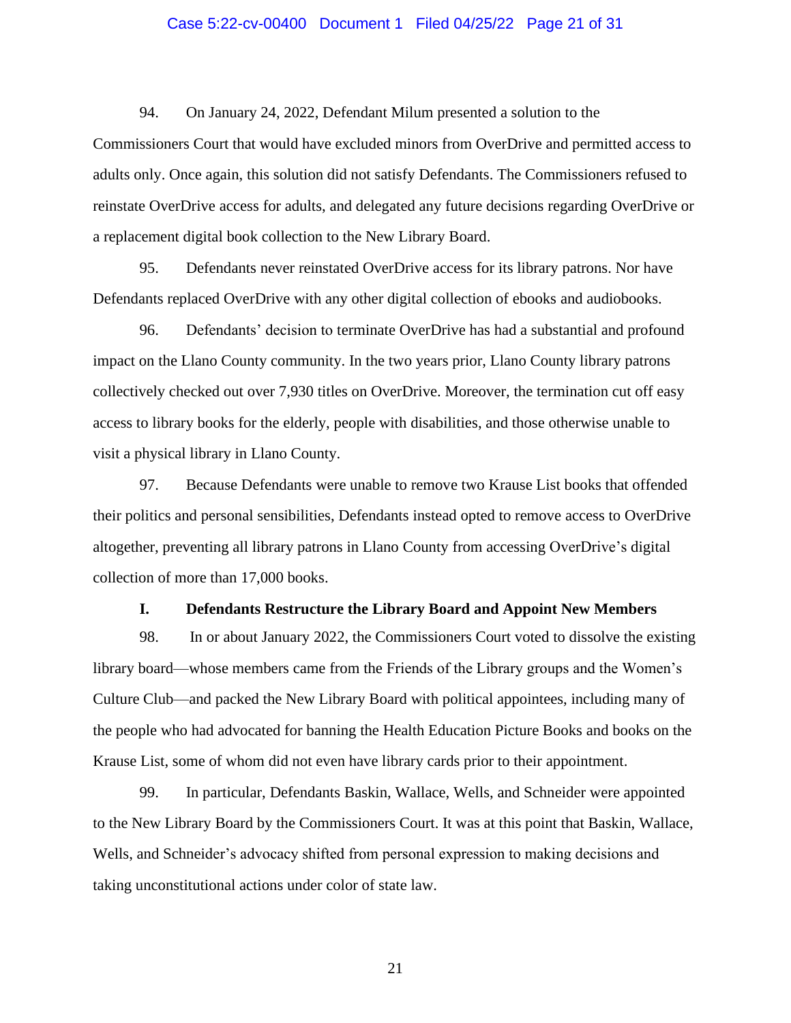### Case 5:22-cv-00400 Document 1 Filed 04/25/22 Page 21 of 31

94. On January 24, 2022, Defendant Milum presented a solution to the Commissioners Court that would have excluded minors from OverDrive and permitted access to adults only. Once again, this solution did not satisfy Defendants. The Commissioners refused to reinstate OverDrive access for adults, and delegated any future decisions regarding OverDrive or a replacement digital book collection to the New Library Board.

95. Defendants never reinstated OverDrive access for its library patrons. Nor have Defendants replaced OverDrive with any other digital collection of ebooks and audiobooks.

96. Defendants' decision to terminate OverDrive has had a substantial and profound impact on the Llano County community. In the two years prior, Llano County library patrons collectively checked out over 7,930 titles on OverDrive. Moreover, the termination cut off easy access to library books for the elderly, people with disabilities, and those otherwise unable to visit a physical library in Llano County.

97. Because Defendants were unable to remove two Krause List books that offended their politics and personal sensibilities, Defendants instead opted to remove access to OverDrive altogether, preventing all library patrons in Llano County from accessing OverDrive's digital collection of more than 17,000 books.

#### **I. Defendants Restructure the Library Board and Appoint New Members**

98. In or about January 2022, the Commissioners Court voted to dissolve the existing library board—whose members came from the Friends of the Library groups and the Women's Culture Club—and packed the New Library Board with political appointees, including many of the people who had advocated for banning the Health Education Picture Books and books on the Krause List, some of whom did not even have library cards prior to their appointment.

99. In particular, Defendants Baskin, Wallace, Wells, and Schneider were appointed to the New Library Board by the Commissioners Court. It was at this point that Baskin, Wallace, Wells, and Schneider's advocacy shifted from personal expression to making decisions and taking unconstitutional actions under color of state law.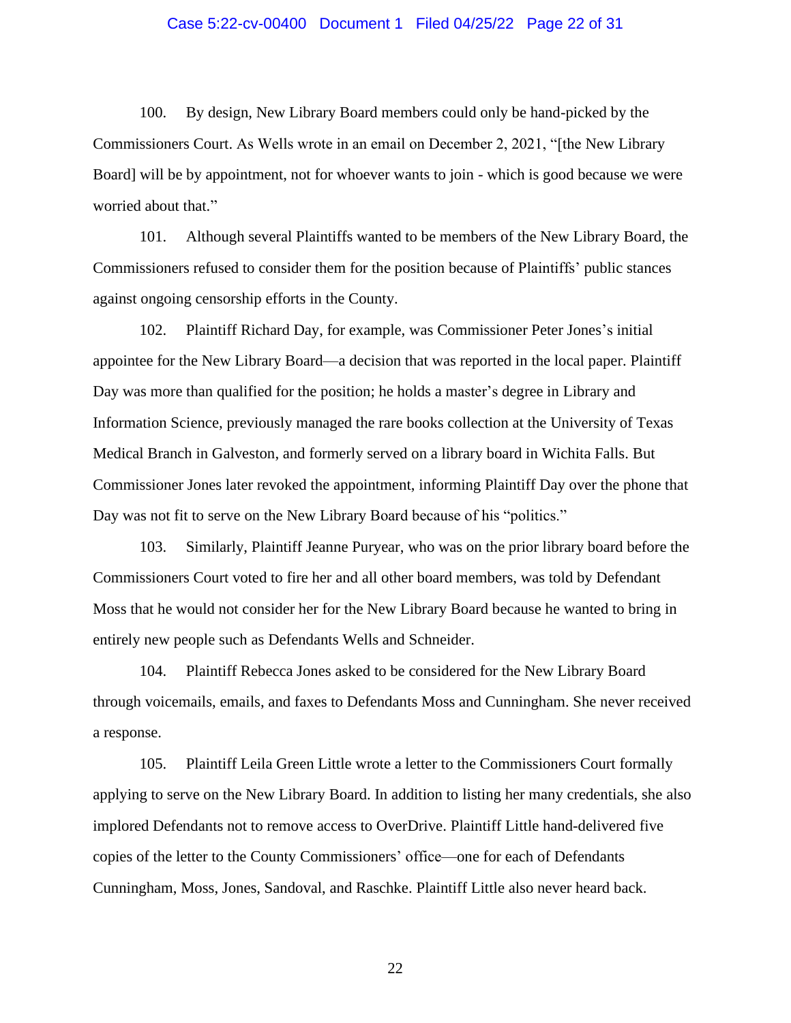### Case 5:22-cv-00400 Document 1 Filed 04/25/22 Page 22 of 31

100. By design, New Library Board members could only be hand-picked by the Commissioners Court. As Wells wrote in an email on December 2, 2021, "[the New Library Board] will be by appointment, not for whoever wants to join - which is good because we were worried about that."

101. Although several Plaintiffs wanted to be members of the New Library Board, the Commissioners refused to consider them for the position because of Plaintiffs' public stances against ongoing censorship efforts in the County.

102. Plaintiff Richard Day, for example, was Commissioner Peter Jones's initial appointee for the New Library Board—a decision that was reported in the local paper. Plaintiff Day was more than qualified for the position; he holds a master's degree in Library and Information Science, previously managed the rare books collection at the University of Texas Medical Branch in Galveston, and formerly served on a library board in Wichita Falls. But Commissioner Jones later revoked the appointment, informing Plaintiff Day over the phone that Day was not fit to serve on the New Library Board because of his "politics."

103. Similarly, Plaintiff Jeanne Puryear, who was on the prior library board before the Commissioners Court voted to fire her and all other board members, was told by Defendant Moss that he would not consider her for the New Library Board because he wanted to bring in entirely new people such as Defendants Wells and Schneider.

104. Plaintiff Rebecca Jones asked to be considered for the New Library Board through voicemails, emails, and faxes to Defendants Moss and Cunningham. She never received a response.

105. Plaintiff Leila Green Little wrote a letter to the Commissioners Court formally applying to serve on the New Library Board. In addition to listing her many credentials, she also implored Defendants not to remove access to OverDrive. Plaintiff Little hand-delivered five copies of the letter to the County Commissioners' office—one for each of Defendants Cunningham, Moss, Jones, Sandoval, and Raschke. Plaintiff Little also never heard back.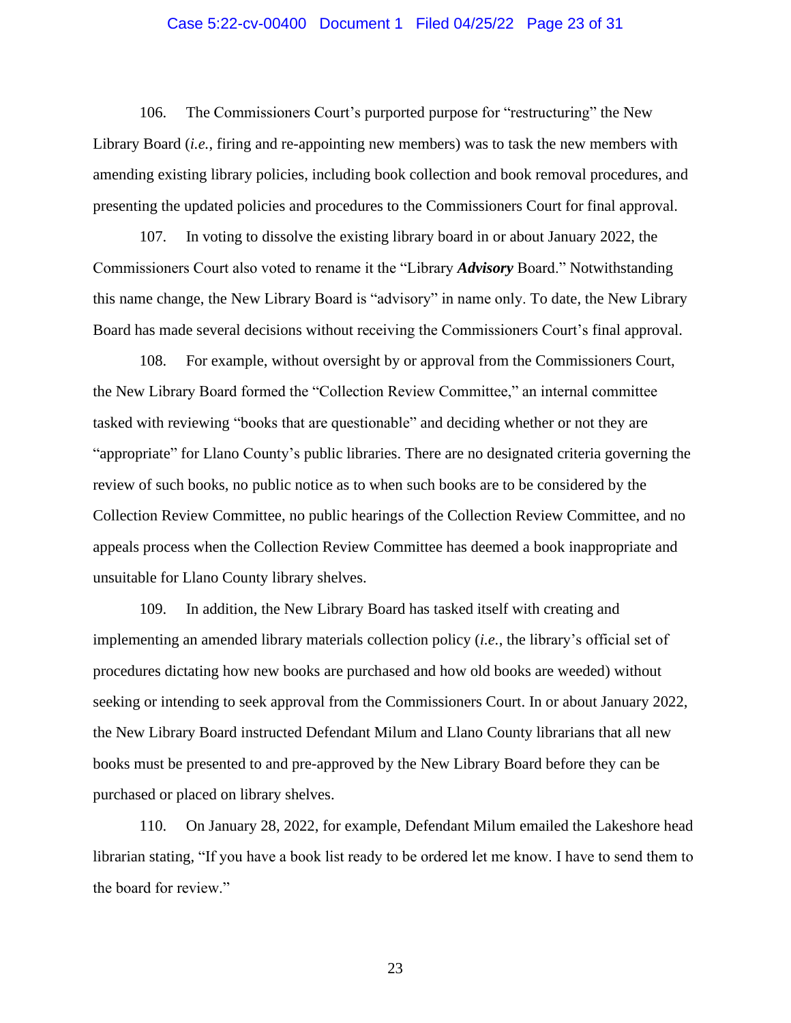### Case 5:22-cv-00400 Document 1 Filed 04/25/22 Page 23 of 31

106. The Commissioners Court's purported purpose for "restructuring" the New Library Board *(i.e.*, firing and re-appointing new members) was to task the new members with amending existing library policies, including book collection and book removal procedures, and presenting the updated policies and procedures to the Commissioners Court for final approval.

107. In voting to dissolve the existing library board in or about January 2022, the Commissioners Court also voted to rename it the "Library *Advisory* Board." Notwithstanding this name change, the New Library Board is "advisory" in name only. To date, the New Library Board has made several decisions without receiving the Commissioners Court's final approval.

108. For example, without oversight by or approval from the Commissioners Court, the New Library Board formed the "Collection Review Committee," an internal committee tasked with reviewing "books that are questionable" and deciding whether or not they are "appropriate" for Llano County's public libraries. There are no designated criteria governing the review of such books, no public notice as to when such books are to be considered by the Collection Review Committee, no public hearings of the Collection Review Committee, and no appeals process when the Collection Review Committee has deemed a book inappropriate and unsuitable for Llano County library shelves.

109. In addition, the New Library Board has tasked itself with creating and implementing an amended library materials collection policy (*i.e.*, the library's official set of procedures dictating how new books are purchased and how old books are weeded) without seeking or intending to seek approval from the Commissioners Court. In or about January 2022, the New Library Board instructed Defendant Milum and Llano County librarians that all new books must be presented to and pre-approved by the New Library Board before they can be purchased or placed on library shelves.

110. On January 28, 2022, for example, Defendant Milum emailed the Lakeshore head librarian stating, "If you have a book list ready to be ordered let me know. I have to send them to the board for review."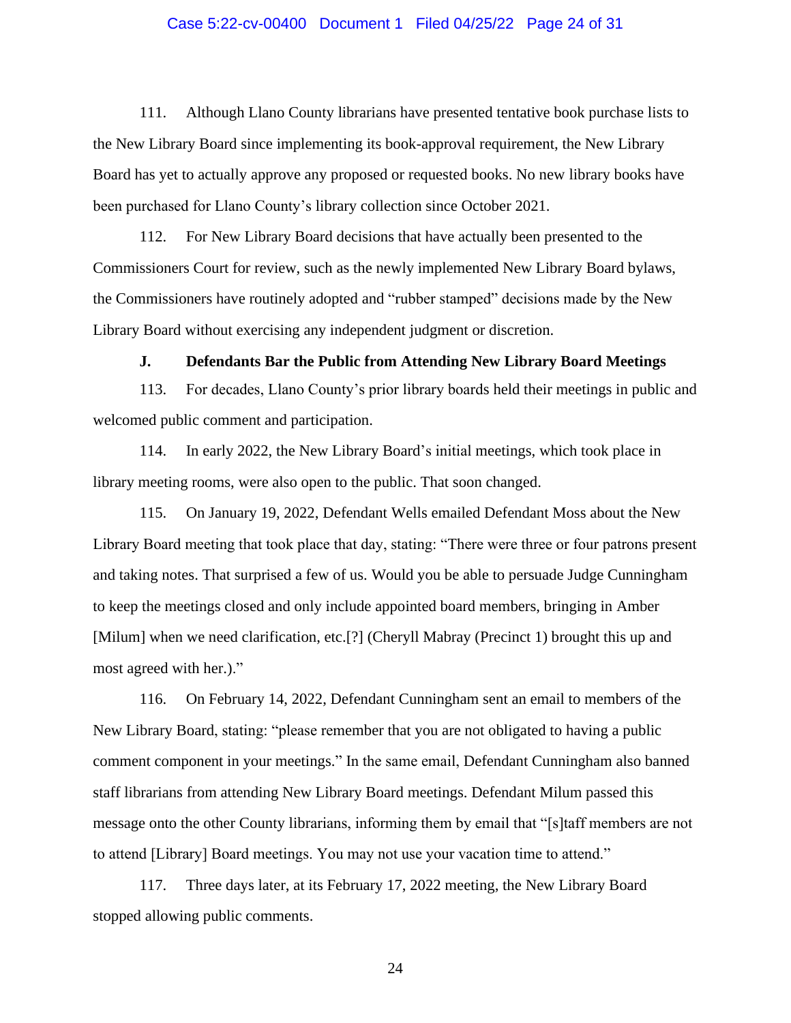#### Case 5:22-cv-00400 Document 1 Filed 04/25/22 Page 24 of 31

111. Although Llano County librarians have presented tentative book purchase lists to the New Library Board since implementing its book-approval requirement, the New Library Board has yet to actually approve any proposed or requested books. No new library books have been purchased for Llano County's library collection since October 2021.

112. For New Library Board decisions that have actually been presented to the Commissioners Court for review, such as the newly implemented New Library Board bylaws, the Commissioners have routinely adopted and "rubber stamped" decisions made by the New Library Board without exercising any independent judgment or discretion.

### **J. Defendants Bar the Public from Attending New Library Board Meetings**

113. For decades, Llano County's prior library boards held their meetings in public and welcomed public comment and participation.

114. In early 2022, the New Library Board's initial meetings, which took place in library meeting rooms, were also open to the public. That soon changed.

115. On January 19, 2022, Defendant Wells emailed Defendant Moss about the New Library Board meeting that took place that day, stating: "There were three or four patrons present and taking notes. That surprised a few of us. Would you be able to persuade Judge Cunningham to keep the meetings closed and only include appointed board members, bringing in Amber [Milum] when we need clarification, etc.[?] (Cheryll Mabray (Precinct 1) brought this up and most agreed with her.)."

116. On February 14, 2022, Defendant Cunningham sent an email to members of the New Library Board, stating: "please remember that you are not obligated to having a public comment component in your meetings." In the same email, Defendant Cunningham also banned staff librarians from attending New Library Board meetings. Defendant Milum passed this message onto the other County librarians, informing them by email that "[s]taff members are not to attend [Library] Board meetings. You may not use your vacation time to attend."

117. Three days later, at its February 17, 2022 meeting, the New Library Board stopped allowing public comments.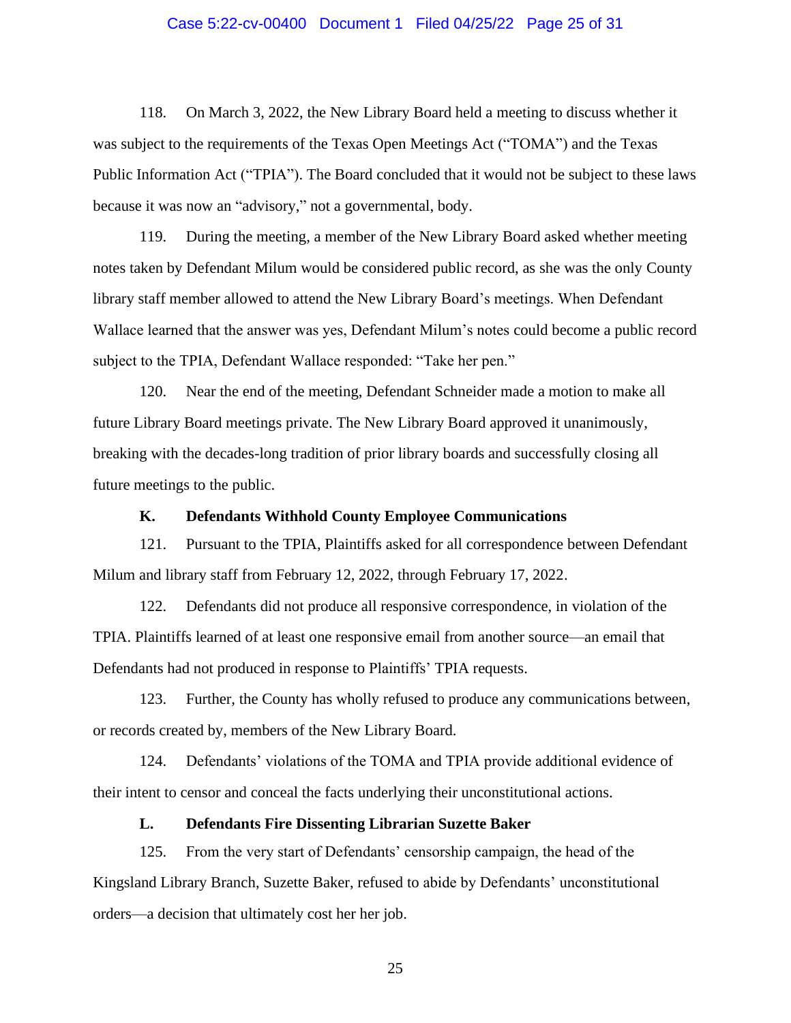### Case 5:22-cv-00400 Document 1 Filed 04/25/22 Page 25 of 31

118. On March 3, 2022, the New Library Board held a meeting to discuss whether it was subject to the requirements of the Texas Open Meetings Act ("TOMA") and the Texas Public Information Act ("TPIA"). The Board concluded that it would not be subject to these laws because it was now an "advisory," not a governmental, body.

119. During the meeting, a member of the New Library Board asked whether meeting notes taken by Defendant Milum would be considered public record, as she was the only County library staff member allowed to attend the New Library Board's meetings. When Defendant Wallace learned that the answer was yes, Defendant Milum's notes could become a public record subject to the TPIA, Defendant Wallace responded: "Take her pen."

120. Near the end of the meeting, Defendant Schneider made a motion to make all future Library Board meetings private. The New Library Board approved it unanimously, breaking with the decades-long tradition of prior library boards and successfully closing all future meetings to the public.

### **K. Defendants Withhold County Employee Communications**

121. Pursuant to the TPIA, Plaintiffs asked for all correspondence between Defendant Milum and library staff from February 12, 2022, through February 17, 2022.

122. Defendants did not produce all responsive correspondence, in violation of the TPIA. Plaintiffs learned of at least one responsive email from another source—an email that Defendants had not produced in response to Plaintiffs' TPIA requests.

123. Further, the County has wholly refused to produce any communications between, or records created by, members of the New Library Board.

124. Defendants' violations of the TOMA and TPIA provide additional evidence of their intent to censor and conceal the facts underlying their unconstitutional actions.

### **L. Defendants Fire Dissenting Librarian Suzette Baker**

125. From the very start of Defendants' censorship campaign, the head of the Kingsland Library Branch, Suzette Baker, refused to abide by Defendants' unconstitutional orders—a decision that ultimately cost her her job.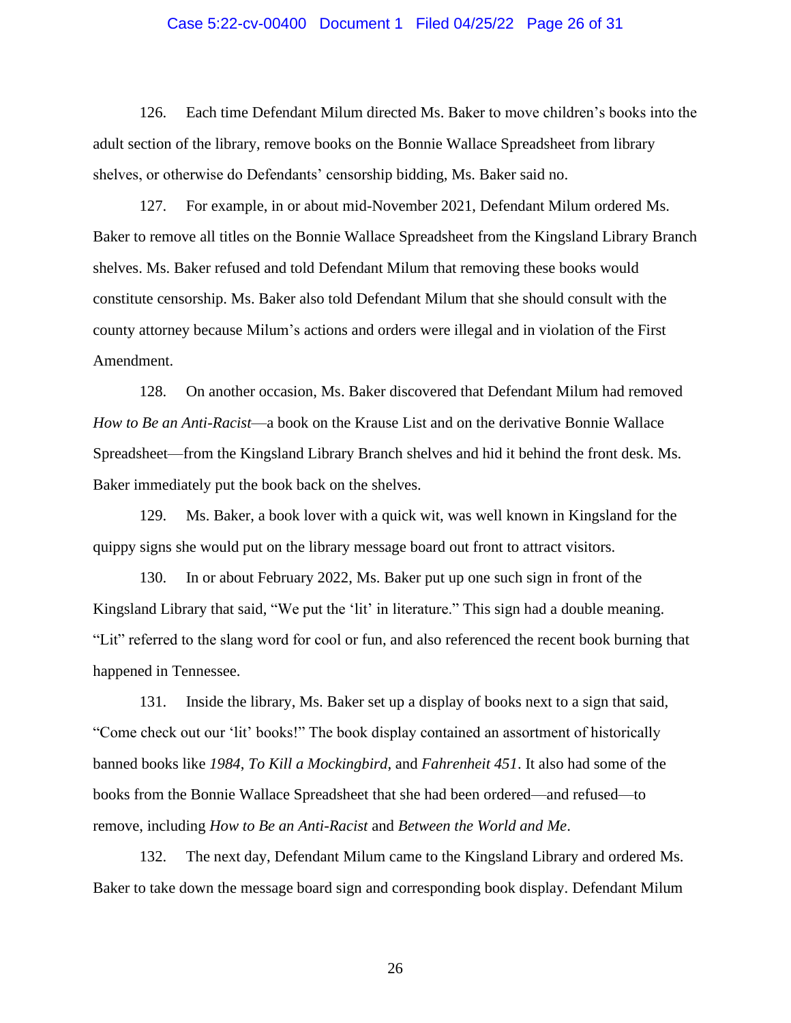### Case 5:22-cv-00400 Document 1 Filed 04/25/22 Page 26 of 31

126. Each time Defendant Milum directed Ms. Baker to move children's books into the adult section of the library, remove books on the Bonnie Wallace Spreadsheet from library shelves, or otherwise do Defendants' censorship bidding, Ms. Baker said no.

127. For example, in or about mid-November 2021, Defendant Milum ordered Ms. Baker to remove all titles on the Bonnie Wallace Spreadsheet from the Kingsland Library Branch shelves. Ms. Baker refused and told Defendant Milum that removing these books would constitute censorship. Ms. Baker also told Defendant Milum that she should consult with the county attorney because Milum's actions and orders were illegal and in violation of the First Amendment.

128. On another occasion, Ms. Baker discovered that Defendant Milum had removed *How to Be an Anti-Racist*—a book on the Krause List and on the derivative Bonnie Wallace Spreadsheet—from the Kingsland Library Branch shelves and hid it behind the front desk. Ms. Baker immediately put the book back on the shelves.

129. Ms. Baker, a book lover with a quick wit, was well known in Kingsland for the quippy signs she would put on the library message board out front to attract visitors.

130. In or about February 2022, Ms. Baker put up one such sign in front of the Kingsland Library that said, "We put the 'lit' in literature." This sign had a double meaning. "Lit" referred to the slang word for cool or fun, and also referenced the recent book burning that happened in Tennessee.

131. Inside the library, Ms. Baker set up a display of books next to a sign that said, "Come check out our 'lit' books!" The book display contained an assortment of historically banned books like *1984*, *To Kill a Mockingbird*, and *Fahrenheit 451*. It also had some of the books from the Bonnie Wallace Spreadsheet that she had been ordered—and refused—to remove, including *How to Be an Anti-Racist* and *Between the World and Me*.

132. The next day, Defendant Milum came to the Kingsland Library and ordered Ms. Baker to take down the message board sign and corresponding book display. Defendant Milum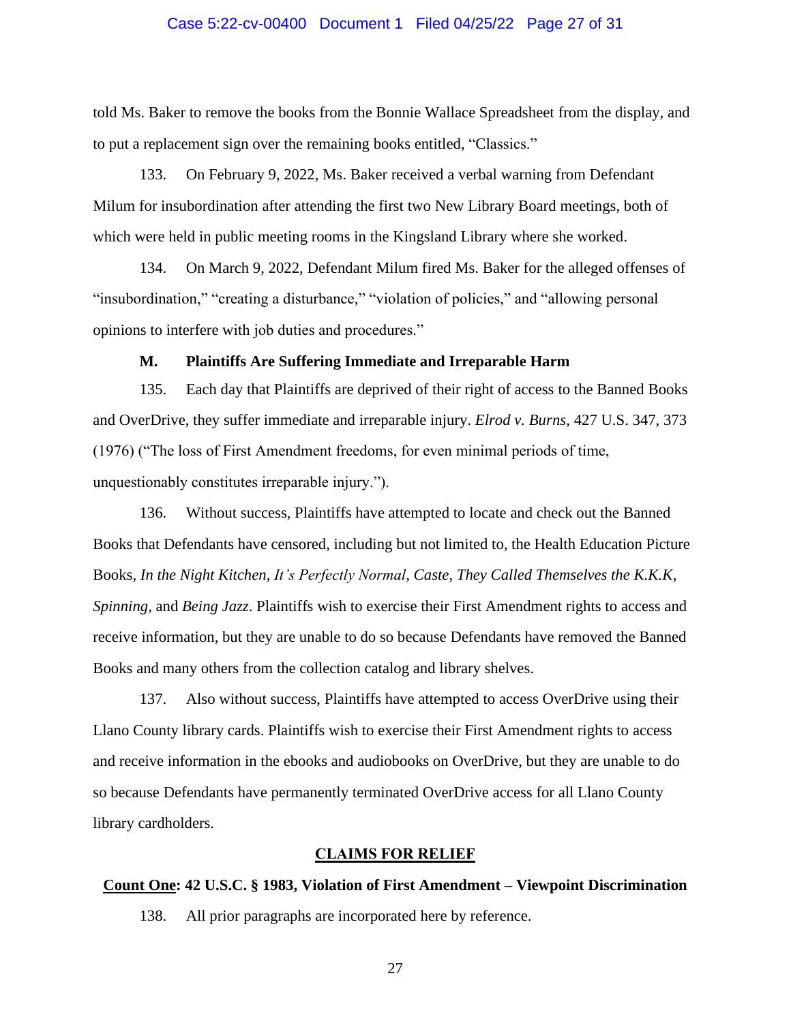### Case 5:22-cv-00400 Document 1 Filed 04/25/22 Page 27 of 31

told Ms. Baker to remove the books from the Bonnie Wallace Spreadsheet from the display, and to put a replacement sign over the remaining books entitled, "Classics."

133. On February 9, 2022, Ms. Baker received a verbal warning from Defendant Milum for insubordination after attending the first two New Library Board meetings, both of which were held in public meeting rooms in the Kingsland Library where she worked.

134. On March 9, 2022, Defendant Milum fired Ms. Baker for the alleged offenses of "insubordination," "creating a disturbance," "violation of policies," and "allowing personal opinions to interfere with job duties and procedures."

### **M. Plaintiffs Are Suffering Immediate and Irreparable Harm**

135. Each day that Plaintiffs are deprived of their right of access to the Banned Books and OverDrive, they suffer immediate and irreparable injury. *Elrod v. Burns*, 427 U.S. 347, 373 (1976) ("The loss of First Amendment freedoms, for even minimal periods of time, unquestionably constitutes irreparable injury.").

136. Without success, Plaintiffs have attempted to locate and check out the Banned Books that Defendants have censored, including but not limited to, the Health Education Picture Books, *In the Night Kitchen*, *It's Perfectly Normal*, *Caste*, *They Called Themselves the K.K.K*, *Spinning*, and *Being Jazz*. Plaintiffs wish to exercise their First Amendment rights to access and receive information, but they are unable to do so because Defendants have removed the Banned Books and many others from the collection catalog and library shelves.

137. Also without success, Plaintiffs have attempted to access OverDrive using their Llano County library cards. Plaintiffs wish to exercise their First Amendment rights to access and receive information in the ebooks and audiobooks on OverDrive, but they are unable to do so because Defendants have permanently terminated OverDrive access for all Llano County library cardholders.

### **CLAIMS FOR RELIEF**

### **Count One: 42 U.S.C. § 1983, Violation of First Amendment – Viewpoint Discrimination**

138. All prior paragraphs are incorporated here by reference.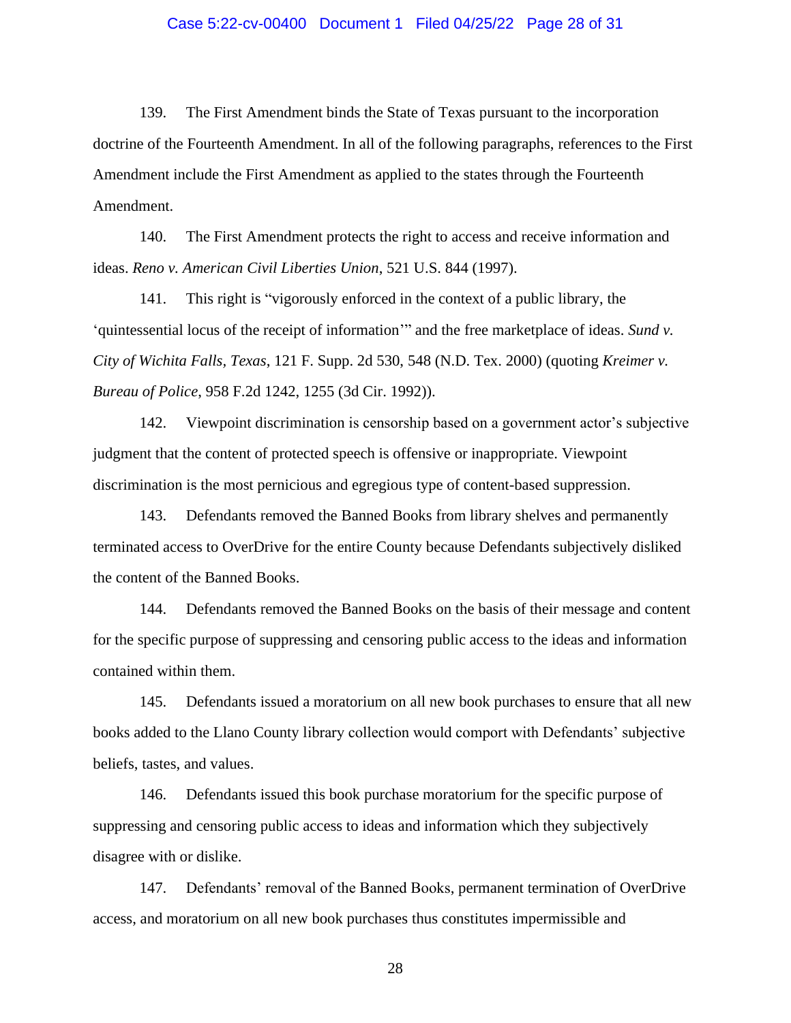#### Case 5:22-cv-00400 Document 1 Filed 04/25/22 Page 28 of 31

139. The First Amendment binds the State of Texas pursuant to the incorporation doctrine of the Fourteenth Amendment. In all of the following paragraphs, references to the First Amendment include the First Amendment as applied to the states through the Fourteenth Amendment.

140. The First Amendment protects the right to access and receive information and ideas. *Reno v. American Civil Liberties Union*, 521 U.S. 844 (1997).

141. This right is "vigorously enforced in the context of a public library, the 'quintessential locus of the receipt of information'" and the free marketplace of ideas. *Sund v. City of Wichita Falls, Texas*, 121 F. Supp. 2d 530, 548 (N.D. Tex. 2000) (quoting *Kreimer v. Bureau of Police*, 958 F.2d 1242, 1255 (3d Cir. 1992)).

142. Viewpoint discrimination is censorship based on a government actor's subjective judgment that the content of protected speech is offensive or inappropriate. Viewpoint discrimination is the most pernicious and egregious type of content-based suppression.

143. Defendants removed the Banned Books from library shelves and permanently terminated access to OverDrive for the entire County because Defendants subjectively disliked the content of the Banned Books.

144. Defendants removed the Banned Books on the basis of their message and content for the specific purpose of suppressing and censoring public access to the ideas and information contained within them.

145. Defendants issued a moratorium on all new book purchases to ensure that all new books added to the Llano County library collection would comport with Defendants' subjective beliefs, tastes, and values.

146. Defendants issued this book purchase moratorium for the specific purpose of suppressing and censoring public access to ideas and information which they subjectively disagree with or dislike.

147. Defendants' removal of the Banned Books, permanent termination of OverDrive access, and moratorium on all new book purchases thus constitutes impermissible and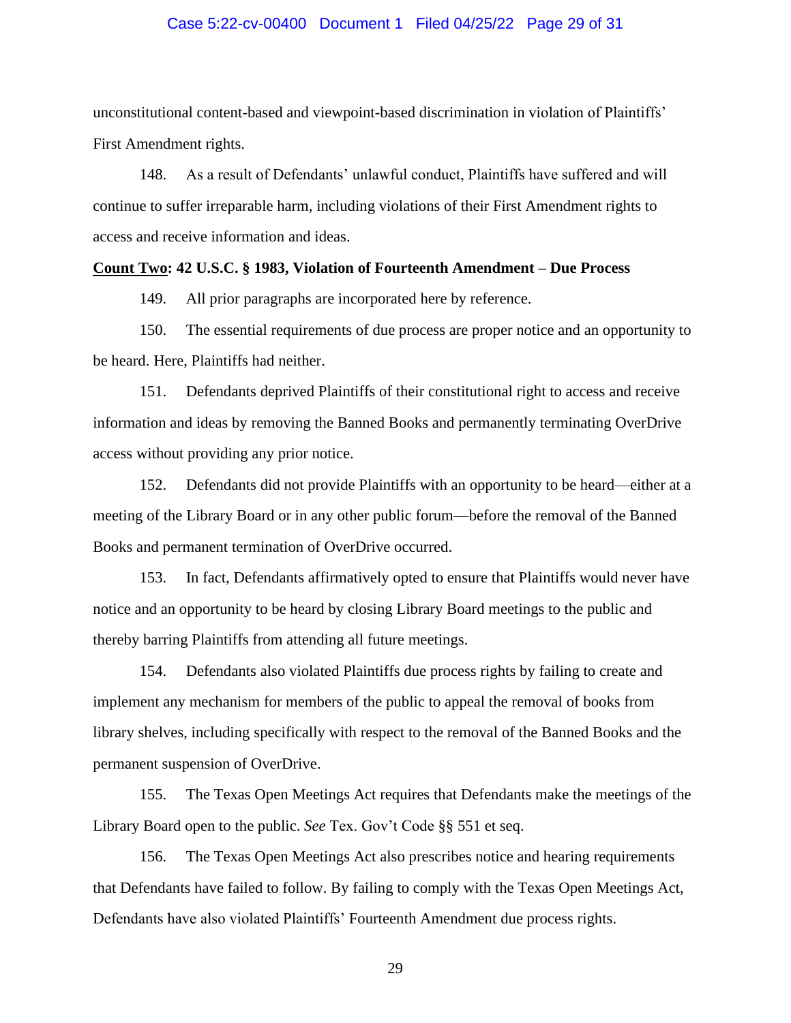### Case 5:22-cv-00400 Document 1 Filed 04/25/22 Page 29 of 31

unconstitutional content-based and viewpoint-based discrimination in violation of Plaintiffs' First Amendment rights.

148. As a result of Defendants' unlawful conduct, Plaintiffs have suffered and will continue to suffer irreparable harm, including violations of their First Amendment rights to access and receive information and ideas.

### **Count Two: 42 U.S.C. § 1983, Violation of Fourteenth Amendment – Due Process**

149. All prior paragraphs are incorporated here by reference.

150. The essential requirements of due process are proper notice and an opportunity to be heard. Here, Plaintiffs had neither.

151. Defendants deprived Plaintiffs of their constitutional right to access and receive information and ideas by removing the Banned Books and permanently terminating OverDrive access without providing any prior notice.

152. Defendants did not provide Plaintiffs with an opportunity to be heard—either at a meeting of the Library Board or in any other public forum—before the removal of the Banned Books and permanent termination of OverDrive occurred.

153. In fact, Defendants affirmatively opted to ensure that Plaintiffs would never have notice and an opportunity to be heard by closing Library Board meetings to the public and thereby barring Plaintiffs from attending all future meetings.

154. Defendants also violated Plaintiffs due process rights by failing to create and implement any mechanism for members of the public to appeal the removal of books from library shelves, including specifically with respect to the removal of the Banned Books and the permanent suspension of OverDrive.

155. The Texas Open Meetings Act requires that Defendants make the meetings of the Library Board open to the public. *See* Tex. Gov't Code §§ 551 et seq.

156. The Texas Open Meetings Act also prescribes notice and hearing requirements that Defendants have failed to follow. By failing to comply with the Texas Open Meetings Act, Defendants have also violated Plaintiffs' Fourteenth Amendment due process rights.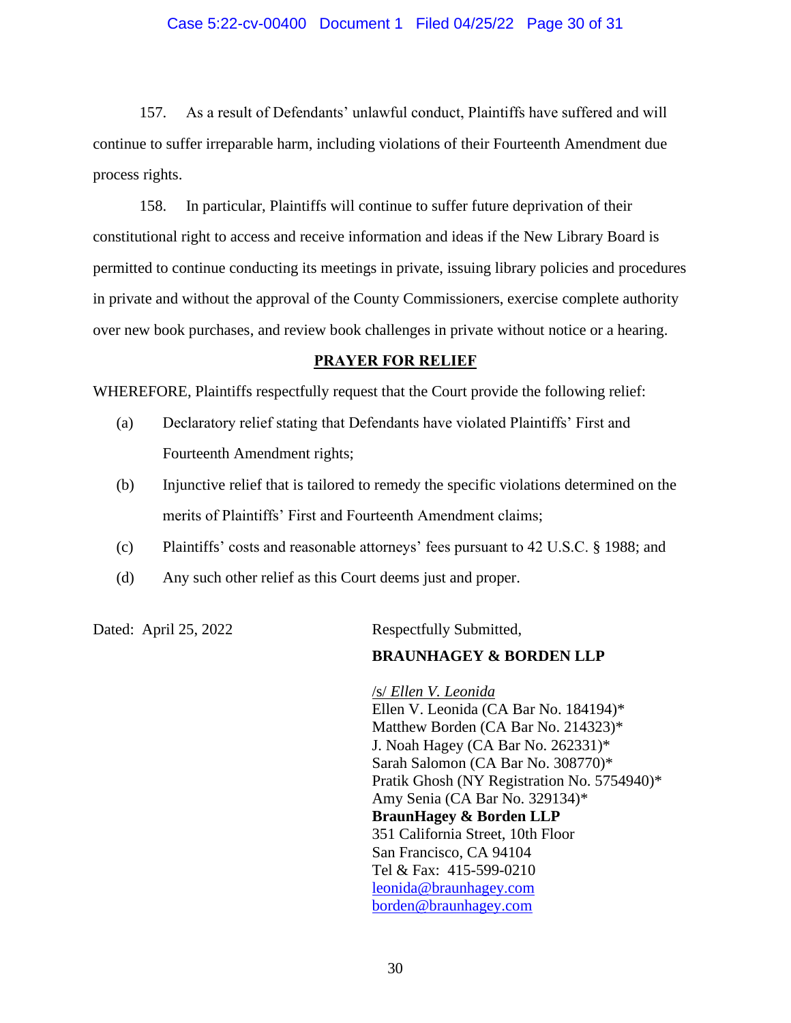### Case 5:22-cv-00400 Document 1 Filed 04/25/22 Page 30 of 31

157. As a result of Defendants' unlawful conduct, Plaintiffs have suffered and will continue to suffer irreparable harm, including violations of their Fourteenth Amendment due process rights.

158. In particular, Plaintiffs will continue to suffer future deprivation of their constitutional right to access and receive information and ideas if the New Library Board is permitted to continue conducting its meetings in private, issuing library policies and procedures in private and without the approval of the County Commissioners, exercise complete authority over new book purchases, and review book challenges in private without notice or a hearing.

### **PRAYER FOR RELIEF**

WHEREFORE, Plaintiffs respectfully request that the Court provide the following relief:

- (a) Declaratory relief stating that Defendants have violated Plaintiffs' First and Fourteenth Amendment rights;
- (b) Injunctive relief that is tailored to remedy the specific violations determined on the merits of Plaintiffs' First and Fourteenth Amendment claims;
- (c) Plaintiffs' costs and reasonable attorneys' fees pursuant to 42 U.S.C. § 1988; and
- (d) Any such other relief as this Court deems just and proper.

Dated: April 25, 2022 Respectfully Submitted,

### **BRAUNHAGEY & BORDEN LLP**

/s/ *Ellen V. Leonida* Ellen V. Leonida (CA Bar No. 184194)\* Matthew Borden (CA Bar No. 214323)\* J. Noah Hagey (CA Bar No. 262331)\* Sarah Salomon (CA Bar No. 308770)\* Pratik Ghosh (NY Registration No. 5754940)\* Amy Senia (CA Bar No. 329134)\* **BraunHagey & Borden LLP** 351 California Street, 10th Floor San Francisco, CA 94104 Tel & Fax: 415-599-0210 [leonida@braunhagey.com](mailto:leonida@braunhagey.com) [borden@braunhagey.com](mailto:borden@braunhagey.com)